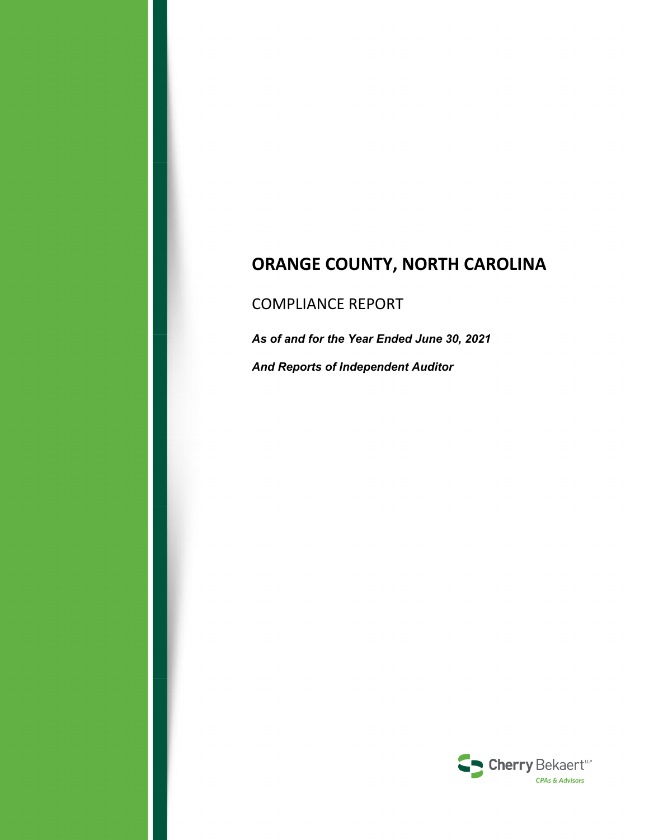# **ORANGE COUNTY, NORTH CAROLINA**

## COMPLIANCE REPORT

*As of and for the Year Ended June 30, 2021* 

*And Reports of Independent Auditor*

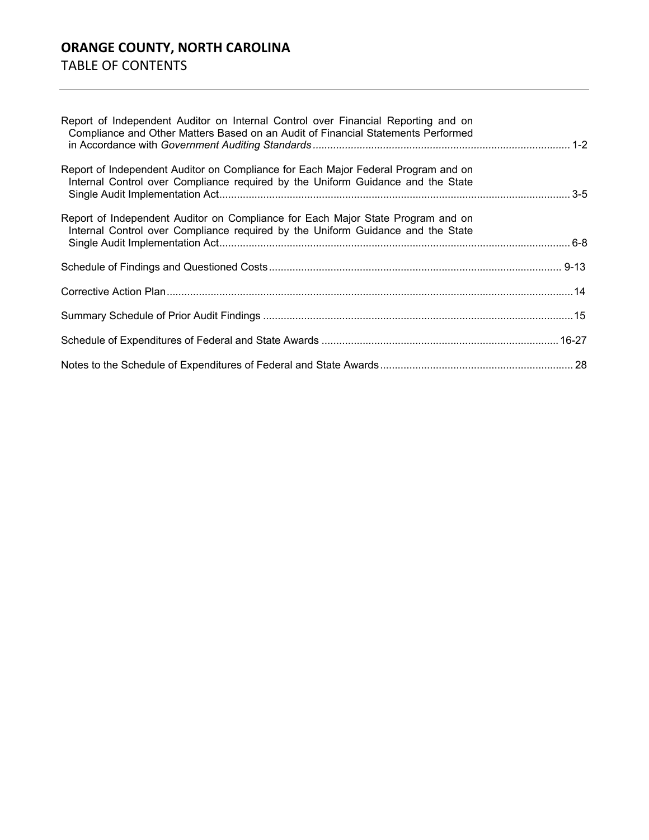## **ORANGE COUNTY, NORTH CAROLINA** TABLE OF CONTENTS

| Report of Independent Auditor on Internal Control over Financial Reporting and on<br>Compliance and Other Matters Based on an Audit of Financial Statements Performed |  |
|-----------------------------------------------------------------------------------------------------------------------------------------------------------------------|--|
|                                                                                                                                                                       |  |
|                                                                                                                                                                       |  |
| Report of Independent Auditor on Compliance for Each Major Federal Program and on                                                                                     |  |
| Internal Control over Compliance required by the Uniform Guidance and the State                                                                                       |  |
|                                                                                                                                                                       |  |
| Report of Independent Auditor on Compliance for Each Major State Program and on                                                                                       |  |
| Internal Control over Compliance required by the Uniform Guidance and the State                                                                                       |  |
|                                                                                                                                                                       |  |
|                                                                                                                                                                       |  |
|                                                                                                                                                                       |  |
|                                                                                                                                                                       |  |
|                                                                                                                                                                       |  |
|                                                                                                                                                                       |  |
|                                                                                                                                                                       |  |
|                                                                                                                                                                       |  |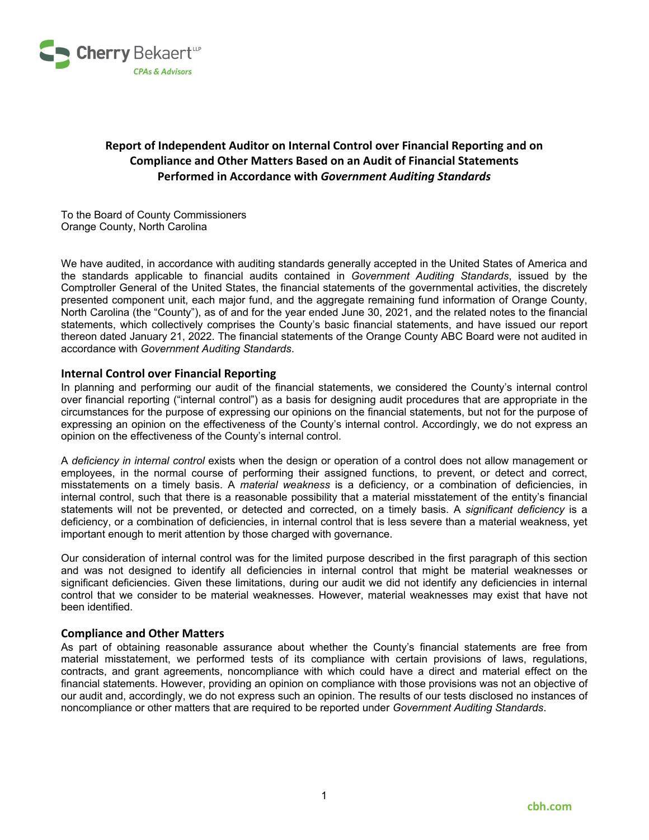

### **Report of Independent Auditor on Internal Control over Financial Reporting and on Compliance and Other Matters Based on an Audit of Financial Statements Performed in Accordance with** *Government Auditing Standards*

To the Board of County Commissioners Orange County, North Carolina

We have audited, in accordance with auditing standards generally accepted in the United States of America and the standards applicable to financial audits contained in *Government Auditing Standards*, issued by the Comptroller General of the United States, the financial statements of the governmental activities, the discretely presented component unit, each major fund, and the aggregate remaining fund information of Orange County, North Carolina (the "County"), as of and for the year ended June 30, 2021, and the related notes to the financial statements, which collectively comprises the County's basic financial statements, and have issued our report thereon dated January 21, 2022. The financial statements of the Orange County ABC Board were not audited in accordance with *Government Auditing Standards*.

#### **Internal Control over Financial Reporting**

In planning and performing our audit of the financial statements, we considered the County's internal control over financial reporting ("internal control") as a basis for designing audit procedures that are appropriate in the circumstances for the purpose of expressing our opinions on the financial statements, but not for the purpose of expressing an opinion on the effectiveness of the County's internal control. Accordingly, we do not express an opinion on the effectiveness of the County's internal control.

A *deficiency in internal control* exists when the design or operation of a control does not allow management or employees, in the normal course of performing their assigned functions, to prevent, or detect and correct, misstatements on a timely basis. A *material weakness* is a deficiency, or a combination of deficiencies, in internal control, such that there is a reasonable possibility that a material misstatement of the entity's financial statements will not be prevented, or detected and corrected, on a timely basis. A *significant deficiency* is a deficiency, or a combination of deficiencies, in internal control that is less severe than a material weakness, yet important enough to merit attention by those charged with governance.

Our consideration of internal control was for the limited purpose described in the first paragraph of this section and was not designed to identify all deficiencies in internal control that might be material weaknesses or significant deficiencies. Given these limitations, during our audit we did not identify any deficiencies in internal control that we consider to be material weaknesses. However, material weaknesses may exist that have not been identified.

#### **Compliance and Other Matters**

As part of obtaining reasonable assurance about whether the County's financial statements are free from material misstatement, we performed tests of its compliance with certain provisions of laws, regulations, contracts, and grant agreements, noncompliance with which could have a direct and material effect on the financial statements. However, providing an opinion on compliance with those provisions was not an objective of our audit and, accordingly, we do not express such an opinion. The results of our tests disclosed no instances of noncompliance or other matters that are required to be reported under *Government Auditing Standards*.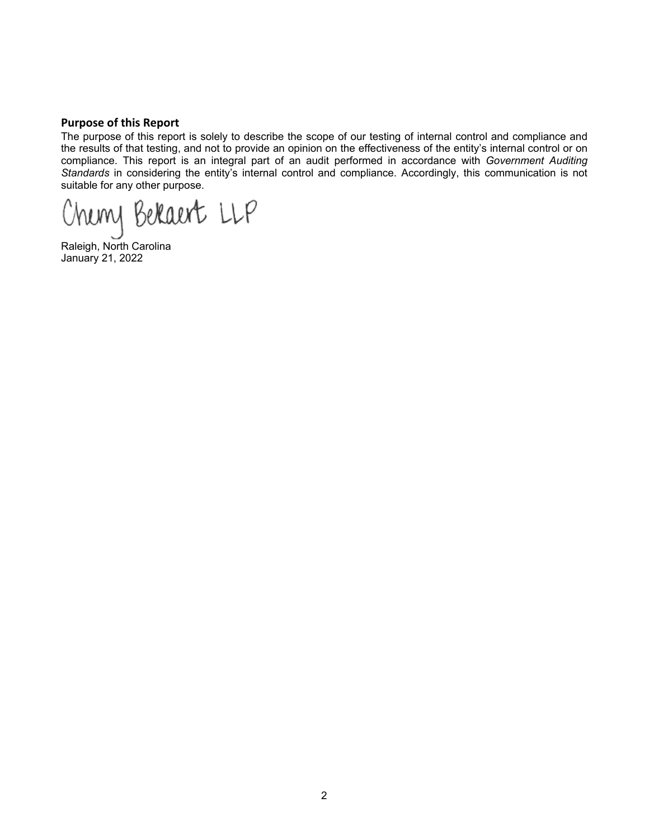### **Purpose of this Report**

The purpose of this report is solely to describe the scope of our testing of internal control and compliance and the results of that testing, and not to provide an opinion on the effectiveness of the entity's internal control or on compliance. This report is an integral part of an audit performed in accordance with *Government Auditing Standards* in considering the entity's internal control and compliance. Accordingly, this communication is not suitable for any other purpose.

Chuny Bekaert LLP

Raleigh, North Carolina January 21, 2022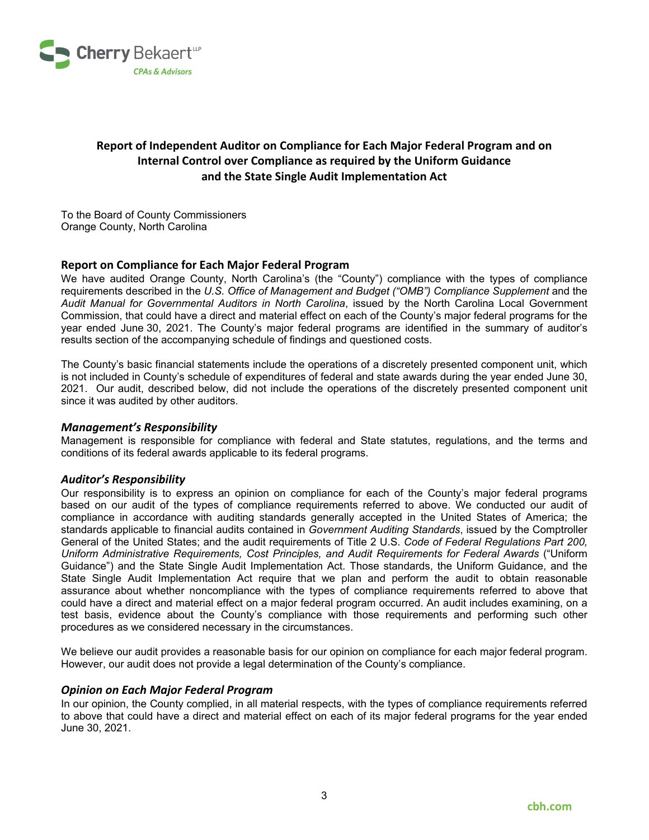

### **Report of Independent Auditor on Compliance for Each Major Federal Program and on Internal Control over Compliance as required by the Uniform Guidance and the State Single Audit Implementation Act**

To the Board of County Commissioners Orange County, North Carolina

#### **Report on Compliance for Each Major Federal Program**

We have audited Orange County, North Carolina's (the "County") compliance with the types of compliance requirements described in the *U.S. Office of Management and Budget ("OMB") Compliance Supplement* and the *Audit Manual for Governmental Auditors in North Carolina*, issued by the North Carolina Local Government Commission, that could have a direct and material effect on each of the County's major federal programs for the year ended June 30, 2021. The County's major federal programs are identified in the summary of auditor's results section of the accompanying schedule of findings and questioned costs.

The County's basic financial statements include the operations of a discretely presented component unit, which is not included in County's schedule of expenditures of federal and state awards during the year ended June 30, 2021. Our audit, described below, did not include the operations of the discretely presented component unit since it was audited by other auditors.

#### *Management's Responsibility*

Management is responsible for compliance with federal and State statutes, regulations, and the terms and conditions of its federal awards applicable to its federal programs.

#### *Auditor's Responsibility*

Our responsibility is to express an opinion on compliance for each of the County's major federal programs based on our audit of the types of compliance requirements referred to above. We conducted our audit of compliance in accordance with auditing standards generally accepted in the United States of America; the standards applicable to financial audits contained in *Government Auditing Standards*, issued by the Comptroller General of the United States; and the audit requirements of Title 2 U.S. *Code of Federal Regulations Part 200, Uniform Administrative Requirements, Cost Principles, and Audit Requirements for Federal Awards* ("Uniform Guidance") and the State Single Audit Implementation Act. Those standards, the Uniform Guidance, and the State Single Audit Implementation Act require that we plan and perform the audit to obtain reasonable assurance about whether noncompliance with the types of compliance requirements referred to above that could have a direct and material effect on a major federal program occurred. An audit includes examining, on a test basis, evidence about the County's compliance with those requirements and performing such other procedures as we considered necessary in the circumstances.

We believe our audit provides a reasonable basis for our opinion on compliance for each major federal program. However, our audit does not provide a legal determination of the County's compliance.

#### *Opinion on Each Major Federal Program*

In our opinion, the County complied, in all material respects, with the types of compliance requirements referred to above that could have a direct and material effect on each of its major federal programs for the year ended June 30, 2021.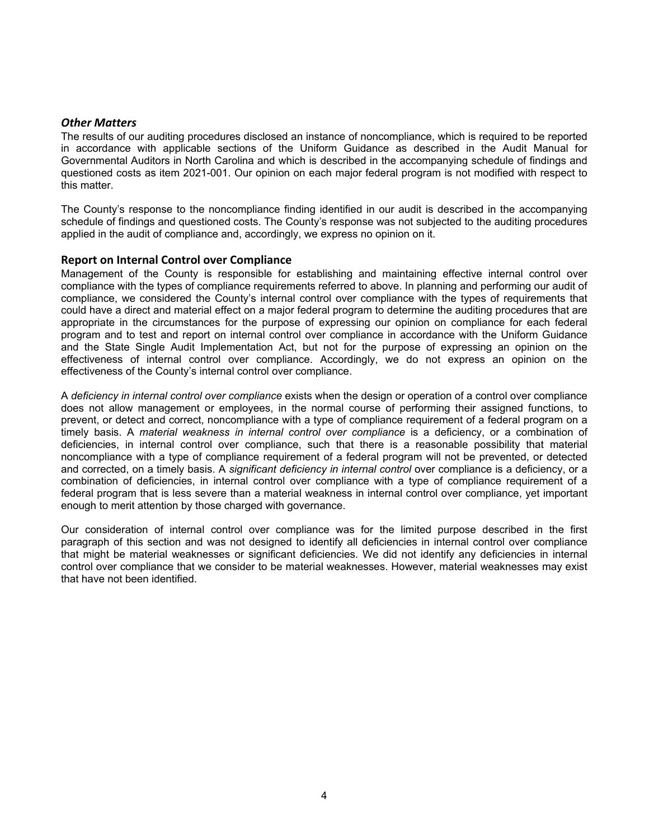#### *Other Matters*

The results of our auditing procedures disclosed an instance of noncompliance, which is required to be reported in accordance with applicable sections of the Uniform Guidance as described in the Audit Manual for Governmental Auditors in North Carolina and which is described in the accompanying schedule of findings and questioned costs as item 2021-001. Our opinion on each major federal program is not modified with respect to this matter.

The County's response to the noncompliance finding identified in our audit is described in the accompanying schedule of findings and questioned costs. The County's response was not subjected to the auditing procedures applied in the audit of compliance and, accordingly, we express no opinion on it.

#### **Report on Internal Control over Compliance**

Management of the County is responsible for establishing and maintaining effective internal control over compliance with the types of compliance requirements referred to above. In planning and performing our audit of compliance, we considered the County's internal control over compliance with the types of requirements that could have a direct and material effect on a major federal program to determine the auditing procedures that are appropriate in the circumstances for the purpose of expressing our opinion on compliance for each federal program and to test and report on internal control over compliance in accordance with the Uniform Guidance and the State Single Audit Implementation Act, but not for the purpose of expressing an opinion on the effectiveness of internal control over compliance. Accordingly, we do not express an opinion on the effectiveness of the County's internal control over compliance.

A *deficiency in internal control over compliance* exists when the design or operation of a control over compliance does not allow management or employees, in the normal course of performing their assigned functions, to prevent, or detect and correct, noncompliance with a type of compliance requirement of a federal program on a timely basis. A *material weakness in internal control over compliance* is a deficiency, or a combination of deficiencies, in internal control over compliance, such that there is a reasonable possibility that material noncompliance with a type of compliance requirement of a federal program will not be prevented, or detected and corrected, on a timely basis. A *significant deficiency in internal control* over compliance is a deficiency, or a combination of deficiencies, in internal control over compliance with a type of compliance requirement of a federal program that is less severe than a material weakness in internal control over compliance, yet important enough to merit attention by those charged with governance.

Our consideration of internal control over compliance was for the limited purpose described in the first paragraph of this section and was not designed to identify all deficiencies in internal control over compliance that might be material weaknesses or significant deficiencies. We did not identify any deficiencies in internal control over compliance that we consider to be material weaknesses. However, material weaknesses may exist that have not been identified.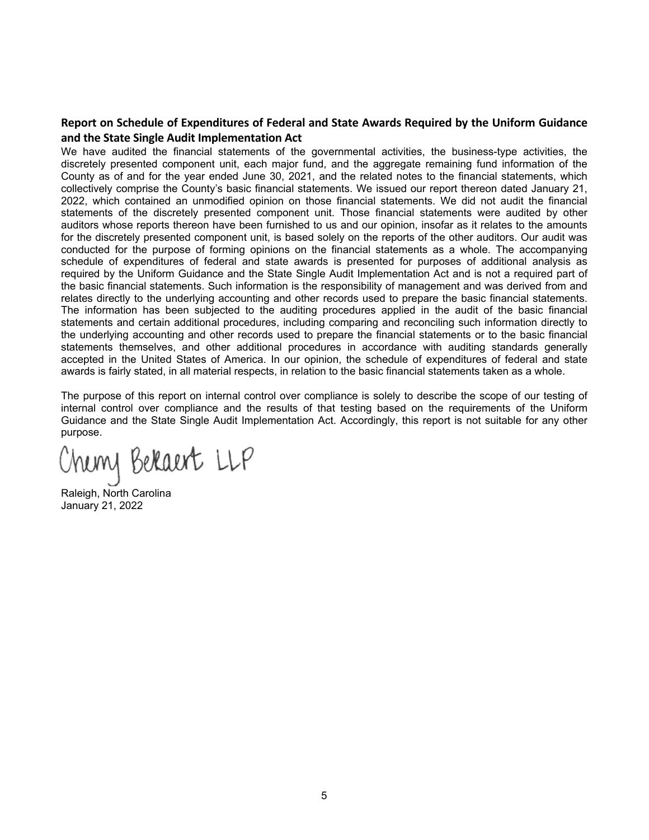#### **Report on Schedule of Expenditures of Federal and State Awards Required by the Uniform Guidance and the State Single Audit Implementation Act**

We have audited the financial statements of the governmental activities, the business-type activities, the discretely presented component unit, each major fund, and the aggregate remaining fund information of the County as of and for the year ended June 30, 2021, and the related notes to the financial statements, which collectively comprise the County's basic financial statements. We issued our report thereon dated January 21, 2022, which contained an unmodified opinion on those financial statements. We did not audit the financial statements of the discretely presented component unit. Those financial statements were audited by other auditors whose reports thereon have been furnished to us and our opinion, insofar as it relates to the amounts for the discretely presented component unit, is based solely on the reports of the other auditors. Our audit was conducted for the purpose of forming opinions on the financial statements as a whole. The accompanying schedule of expenditures of federal and state awards is presented for purposes of additional analysis as required by the Uniform Guidance and the State Single Audit Implementation Act and is not a required part of the basic financial statements. Such information is the responsibility of management and was derived from and relates directly to the underlying accounting and other records used to prepare the basic financial statements. The information has been subjected to the auditing procedures applied in the audit of the basic financial statements and certain additional procedures, including comparing and reconciling such information directly to the underlying accounting and other records used to prepare the financial statements or to the basic financial statements themselves, and other additional procedures in accordance with auditing standards generally accepted in the United States of America. In our opinion, the schedule of expenditures of federal and state awards is fairly stated, in all material respects, in relation to the basic financial statements taken as a whole.

The purpose of this report on internal control over compliance is solely to describe the scope of our testing of internal control over compliance and the results of that testing based on the requirements of the Uniform Guidance and the State Single Audit Implementation Act. Accordingly, this report is not suitable for any other purpose.

runy Bekaert LLP

Raleigh, North Carolina January 21, 2022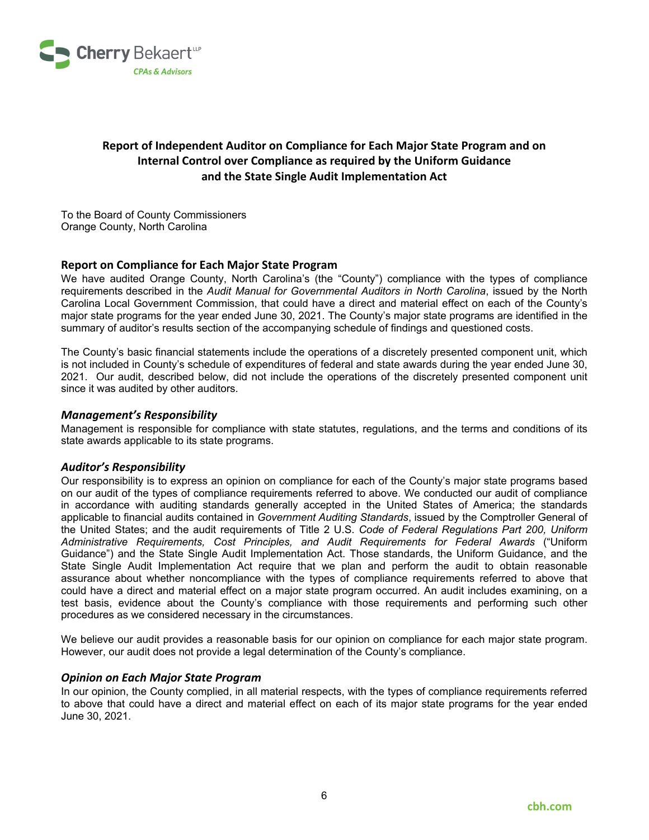

### **Report of Independent Auditor on Compliance for Each Major State Program and on Internal Control over Compliance as required by the Uniform Guidance and the State Single Audit Implementation Act**

To the Board of County Commissioners Orange County, North Carolina

#### **Report on Compliance for Each Major State Program**

We have audited Orange County, North Carolina's (the "County") compliance with the types of compliance requirements described in the *Audit Manual for Governmental Auditors in North Carolina*, issued by the North Carolina Local Government Commission, that could have a direct and material effect on each of the County's major state programs for the year ended June 30, 2021. The County's major state programs are identified in the summary of auditor's results section of the accompanying schedule of findings and questioned costs.

The County's basic financial statements include the operations of a discretely presented component unit, which is not included in County's schedule of expenditures of federal and state awards during the year ended June 30, 2021. Our audit, described below, did not include the operations of the discretely presented component unit since it was audited by other auditors.

#### *Management's Responsibility*

Management is responsible for compliance with state statutes, regulations, and the terms and conditions of its state awards applicable to its state programs.

#### *Auditor's Responsibility*

Our responsibility is to express an opinion on compliance for each of the County's major state programs based on our audit of the types of compliance requirements referred to above. We conducted our audit of compliance in accordance with auditing standards generally accepted in the United States of America; the standards applicable to financial audits contained in *Government Auditing Standards*, issued by the Comptroller General of the United States; and the audit requirements of Title 2 U.S. *Code of Federal Regulations Part 200, Uniform Administrative Requirements, Cost Principles, and Audit Requirements for Federal Awards* ("Uniform Guidance") and the State Single Audit Implementation Act. Those standards, the Uniform Guidance, and the State Single Audit Implementation Act require that we plan and perform the audit to obtain reasonable assurance about whether noncompliance with the types of compliance requirements referred to above that could have a direct and material effect on a major state program occurred. An audit includes examining, on a test basis, evidence about the County's compliance with those requirements and performing such other procedures as we considered necessary in the circumstances.

We believe our audit provides a reasonable basis for our opinion on compliance for each major state program. However, our audit does not provide a legal determination of the County's compliance.

#### *Opinion on Each Major State Program*

In our opinion, the County complied, in all material respects, with the types of compliance requirements referred to above that could have a direct and material effect on each of its major state programs for the year ended June 30, 2021.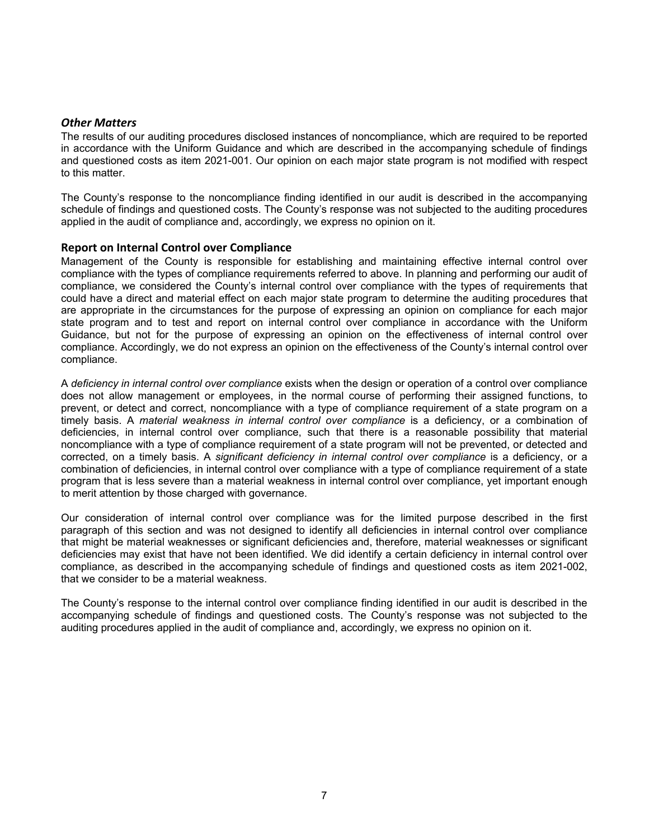#### *Other Matters*

The results of our auditing procedures disclosed instances of noncompliance, which are required to be reported in accordance with the Uniform Guidance and which are described in the accompanying schedule of findings and questioned costs as item 2021-001. Our opinion on each major state program is not modified with respect to this matter.

The County's response to the noncompliance finding identified in our audit is described in the accompanying schedule of findings and questioned costs. The County's response was not subjected to the auditing procedures applied in the audit of compliance and, accordingly, we express no opinion on it.

#### **Report on Internal Control over Compliance**

Management of the County is responsible for establishing and maintaining effective internal control over compliance with the types of compliance requirements referred to above. In planning and performing our audit of compliance, we considered the County's internal control over compliance with the types of requirements that could have a direct and material effect on each major state program to determine the auditing procedures that are appropriate in the circumstances for the purpose of expressing an opinion on compliance for each major state program and to test and report on internal control over compliance in accordance with the Uniform Guidance, but not for the purpose of expressing an opinion on the effectiveness of internal control over compliance. Accordingly, we do not express an opinion on the effectiveness of the County's internal control over compliance.

A *deficiency in internal control over compliance* exists when the design or operation of a control over compliance does not allow management or employees, in the normal course of performing their assigned functions, to prevent, or detect and correct, noncompliance with a type of compliance requirement of a state program on a timely basis. A *material weakness in internal control over compliance* is a deficiency, or a combination of deficiencies, in internal control over compliance, such that there is a reasonable possibility that material noncompliance with a type of compliance requirement of a state program will not be prevented, or detected and corrected, on a timely basis. A *significant deficiency in internal control over compliance* is a deficiency, or a combination of deficiencies, in internal control over compliance with a type of compliance requirement of a state program that is less severe than a material weakness in internal control over compliance, yet important enough to merit attention by those charged with governance.

Our consideration of internal control over compliance was for the limited purpose described in the first paragraph of this section and was not designed to identify all deficiencies in internal control over compliance that might be material weaknesses or significant deficiencies and, therefore, material weaknesses or significant deficiencies may exist that have not been identified. We did identify a certain deficiency in internal control over compliance, as described in the accompanying schedule of findings and questioned costs as item 2021-002, that we consider to be a material weakness.

The County's response to the internal control over compliance finding identified in our audit is described in the accompanying schedule of findings and questioned costs. The County's response was not subjected to the auditing procedures applied in the audit of compliance and, accordingly, we express no opinion on it.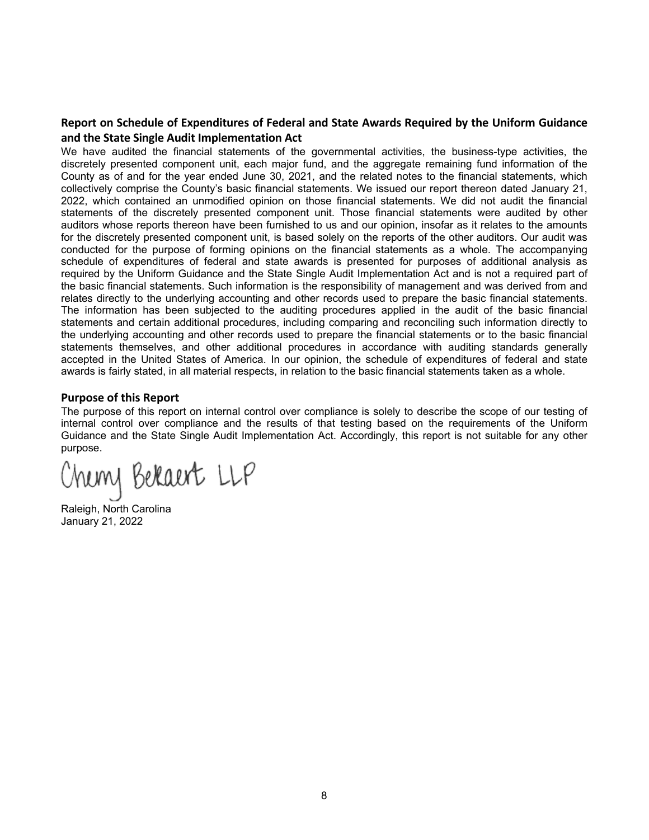#### **Report on Schedule of Expenditures of Federal and State Awards Required by the Uniform Guidance and the State Single Audit Implementation Act**

We have audited the financial statements of the governmental activities, the business-type activities, the discretely presented component unit, each major fund, and the aggregate remaining fund information of the County as of and for the year ended June 30, 2021, and the related notes to the financial statements, which collectively comprise the County's basic financial statements. We issued our report thereon dated January 21, 2022, which contained an unmodified opinion on those financial statements. We did not audit the financial statements of the discretely presented component unit. Those financial statements were audited by other auditors whose reports thereon have been furnished to us and our opinion, insofar as it relates to the amounts for the discretely presented component unit, is based solely on the reports of the other auditors. Our audit was conducted for the purpose of forming opinions on the financial statements as a whole. The accompanying schedule of expenditures of federal and state awards is presented for purposes of additional analysis as required by the Uniform Guidance and the State Single Audit Implementation Act and is not a required part of the basic financial statements. Such information is the responsibility of management and was derived from and relates directly to the underlying accounting and other records used to prepare the basic financial statements. The information has been subjected to the auditing procedures applied in the audit of the basic financial statements and certain additional procedures, including comparing and reconciling such information directly to the underlying accounting and other records used to prepare the financial statements or to the basic financial statements themselves, and other additional procedures in accordance with auditing standards generally accepted in the United States of America. In our opinion, the schedule of expenditures of federal and state awards is fairly stated, in all material respects, in relation to the basic financial statements taken as a whole.

#### **Purpose of this Report**

The purpose of this report on internal control over compliance is solely to describe the scope of our testing of internal control over compliance and the results of that testing based on the requirements of the Uniform Guidance and the State Single Audit Implementation Act. Accordingly, this report is not suitable for any other purpose.

huny Bekaert LLP

Raleigh, North Carolina January 21, 2022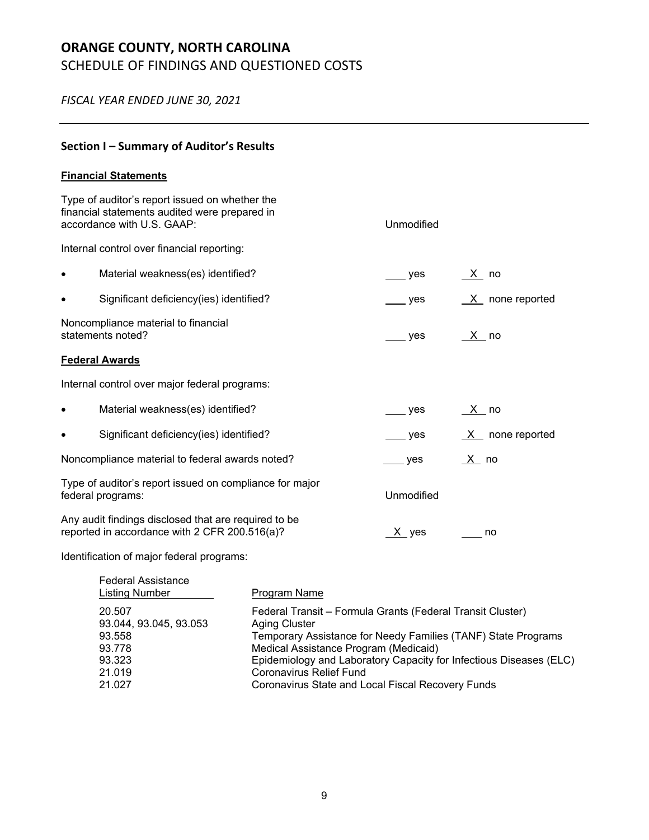### **ORANGE COUNTY, NORTH CAROLINA** SCHEDULE OF FINDINGS AND QUESTIONED COSTS

*FISCAL YEAR ENDED JUNE 30, 2021*

#### **Section I – Summary of Auditor's Results**

#### **Financial Statements**

| Type of auditor's report issued on whether the<br>financial statements audited were prepared in<br>accordance with U.S. GAAP: | Unmodified |                   |
|-------------------------------------------------------------------------------------------------------------------------------|------------|-------------------|
| Internal control over financial reporting:                                                                                    |            |                   |
| Material weakness(es) identified?                                                                                             | yes        | X no              |
| Significant deficiency(ies) identified?                                                                                       | yes        | $X$ none reported |
| Noncompliance material to financial<br>statements noted?                                                                      | yes        | X no              |
| <b>Federal Awards</b>                                                                                                         |            |                   |
| Internal control over major federal programs:                                                                                 |            |                   |
| Material weakness(es) identified?                                                                                             | yes        | <u>__X __</u> no  |
| Significant deficiency(ies) identified?                                                                                       | yes        | $X$ none reported |
| Noncompliance material to federal awards noted?                                                                               | yes        | $X$ no            |
| Type of auditor's report issued on compliance for major<br>federal programs:                                                  | Unmodified |                   |
| Any audit findings disclosed that are required to be<br>reported in accordance with 2 CFR 200.516(a)?                         | X yes      | no                |

Identification of major federal programs:

| <b>Federal Assistance</b><br><b>Listing Number</b> | Program Name                                                       |
|----------------------------------------------------|--------------------------------------------------------------------|
| 20.507                                             | Federal Transit - Formula Grants (Federal Transit Cluster)         |
| 93.044, 93.045, 93.053                             | <b>Aging Cluster</b>                                               |
| 93.558                                             | Temporary Assistance for Needy Families (TANF) State Programs      |
| 93.778                                             | Medical Assistance Program (Medicaid)                              |
| 93.323                                             | Epidemiology and Laboratory Capacity for Infectious Diseases (ELC) |
| 21.019                                             | <b>Coronavirus Relief Fund</b>                                     |
| 21.027                                             | Coronavirus State and Local Fiscal Recovery Funds                  |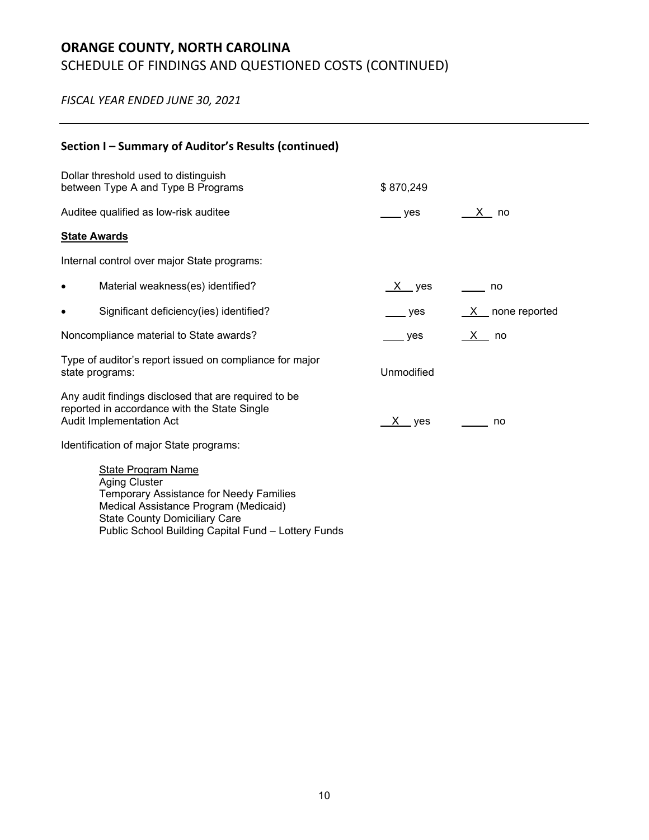## **ORANGE COUNTY, NORTH CAROLINA**

## SCHEDULE OF FINDINGS AND QUESTIONED COSTS (CONTINUED)

### *FISCAL YEAR ENDED JUNE 30, 2021*

| Section I - Summary of Auditor's Results (continued)                                                                                                                          |            |                   |
|-------------------------------------------------------------------------------------------------------------------------------------------------------------------------------|------------|-------------------|
| Dollar threshold used to distinguish<br>between Type A and Type B Programs                                                                                                    | \$870,249  |                   |
| Auditee qualified as low-risk auditee                                                                                                                                         | yes        | X no              |
| <b>State Awards</b>                                                                                                                                                           |            |                   |
| Internal control over major State programs:                                                                                                                                   |            |                   |
| Material weakness(es) identified?<br>٠                                                                                                                                        | $X$ yes    | no                |
| Significant deficiency(ies) identified?<br>$\bullet$                                                                                                                          |            | $X$ none reported |
| Noncompliance material to State awards?                                                                                                                                       | yes        | <u>_ X _</u> no   |
| Type of auditor's report issued on compliance for major<br>state programs:                                                                                                    | Unmodified |                   |
| Any audit findings disclosed that are required to be<br>reported in accordance with the State Single<br>Audit Implementation Act                                              | X yes      | no                |
| Identification of major State programs:                                                                                                                                       |            |                   |
| <b>State Program Name</b><br><b>Aging Cluster</b><br>Temporary Assistance for Needy Families<br>Medical Assistance Program (Medicaid)<br><b>State County Domiciliary Care</b> |            |                   |

Public School Building Capital Fund – Lottery Funds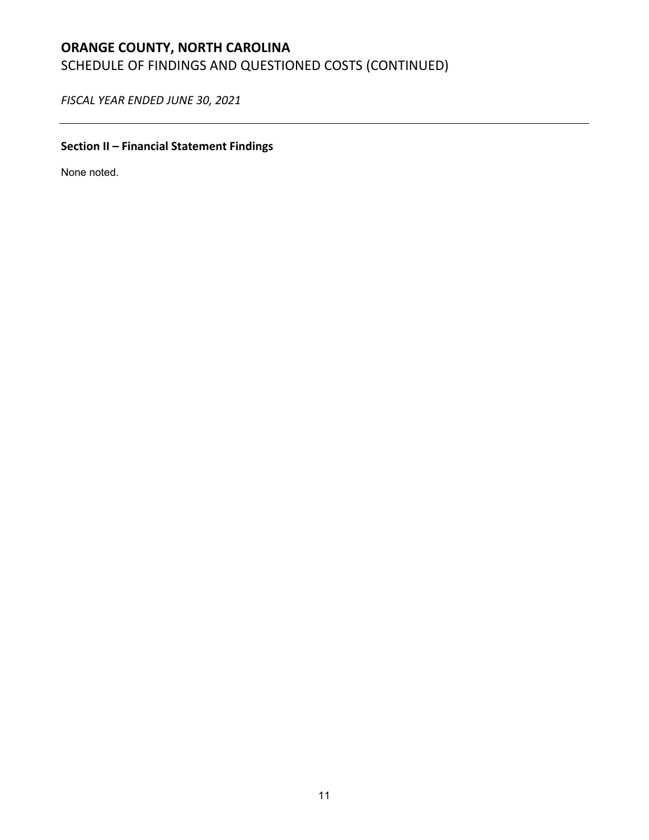### **ORANGE COUNTY, NORTH CAROLINA**

## SCHEDULE OF FINDINGS AND QUESTIONED COSTS (CONTINUED)

*FISCAL YEAR ENDED JUNE 30, 2021*

## **Section II – Financial Statement Findings**

None noted.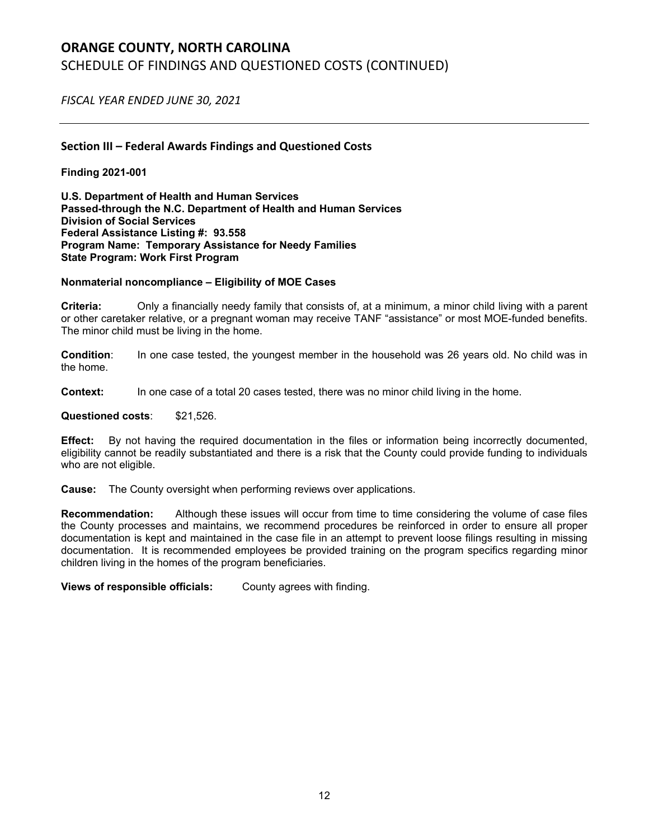### **ORANGE COUNTY, NORTH CAROLINA** SCHEDULE OF FINDINGS AND QUESTIONED COSTS (CONTINUED)

#### *FISCAL YEAR ENDED JUNE 30, 2021*

#### **Section III – Federal Awards Findings and Questioned Costs**

**Finding 2021-001** 

**U.S. Department of Health and Human Services Passed-through the N.C. Department of Health and Human Services Division of Social Services Federal Assistance Listing #: 93.558 Program Name: Temporary Assistance for Needy Families State Program: Work First Program** 

#### **Nonmaterial noncompliance – Eligibility of MOE Cases**

**Criteria:** Only a financially needy family that consists of, at a minimum, a minor child living with a parent or other caretaker relative, or a pregnant woman may receive TANF "assistance" or most MOE-funded benefits. The minor child must be living in the home.

**Condition**: In one case tested, the youngest member in the household was 26 years old. No child was in the home.

**Context:** In one case of a total 20 cases tested, there was no minor child living in the home.

**Questioned costs**: \$21,526.

**Effect:** By not having the required documentation in the files or information being incorrectly documented, eligibility cannot be readily substantiated and there is a risk that the County could provide funding to individuals who are not eligible.

**Cause:** The County oversight when performing reviews over applications.

**Recommendation:** Although these issues will occur from time to time considering the volume of case files the County processes and maintains, we recommend procedures be reinforced in order to ensure all proper documentation is kept and maintained in the case file in an attempt to prevent loose filings resulting in missing documentation. It is recommended employees be provided training on the program specifics regarding minor children living in the homes of the program beneficiaries.

**Views of responsible officials:** County agrees with finding.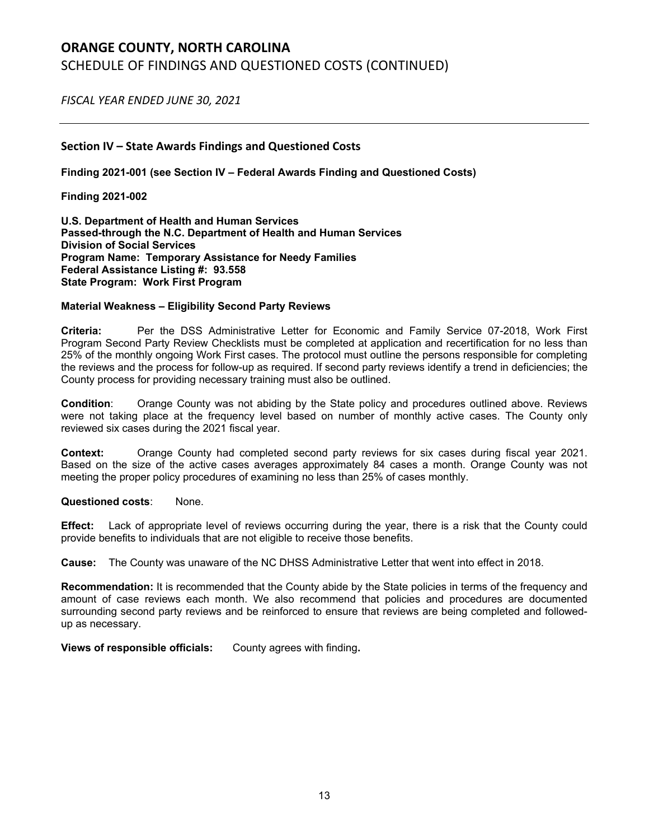### **ORANGE COUNTY, NORTH CAROLINA**

### SCHEDULE OF FINDINGS AND QUESTIONED COSTS (CONTINUED)

#### *FISCAL YEAR ENDED JUNE 30, 2021*

#### **Section IV – State Awards Findings and Questioned Costs**

**Finding 2021-001 (see Section IV – Federal Awards Finding and Questioned Costs)** 

**Finding 2021-002** 

**U.S. Department of Health and Human Services Passed-through the N.C. Department of Health and Human Services Division of Social Services Program Name: Temporary Assistance for Needy Families Federal Assistance Listing #: 93.558 State Program: Work First Program** 

#### **Material Weakness – Eligibility Second Party Reviews**

**Criteria:** Per the DSS Administrative Letter for Economic and Family Service 07-2018, Work First Program Second Party Review Checklists must be completed at application and recertification for no less than 25% of the monthly ongoing Work First cases. The protocol must outline the persons responsible for completing the reviews and the process for follow-up as required. If second party reviews identify a trend in deficiencies; the County process for providing necessary training must also be outlined.

**Condition**: Orange County was not abiding by the State policy and procedures outlined above. Reviews were not taking place at the frequency level based on number of monthly active cases. The County only reviewed six cases during the 2021 fiscal year.

**Context:** Orange County had completed second party reviews for six cases during fiscal year 2021. Based on the size of the active cases averages approximately 84 cases a month. Orange County was not meeting the proper policy procedures of examining no less than 25% of cases monthly.

**Questioned costs**: None.

**Effect:** Lack of appropriate level of reviews occurring during the year, there is a risk that the County could provide benefits to individuals that are not eligible to receive those benefits.

**Cause:** The County was unaware of the NC DHSS Administrative Letter that went into effect in 2018.

**Recommendation:** It is recommended that the County abide by the State policies in terms of the frequency and amount of case reviews each month. We also recommend that policies and procedures are documented surrounding second party reviews and be reinforced to ensure that reviews are being completed and followedup as necessary.

**Views of responsible officials:** County agrees with finding**.**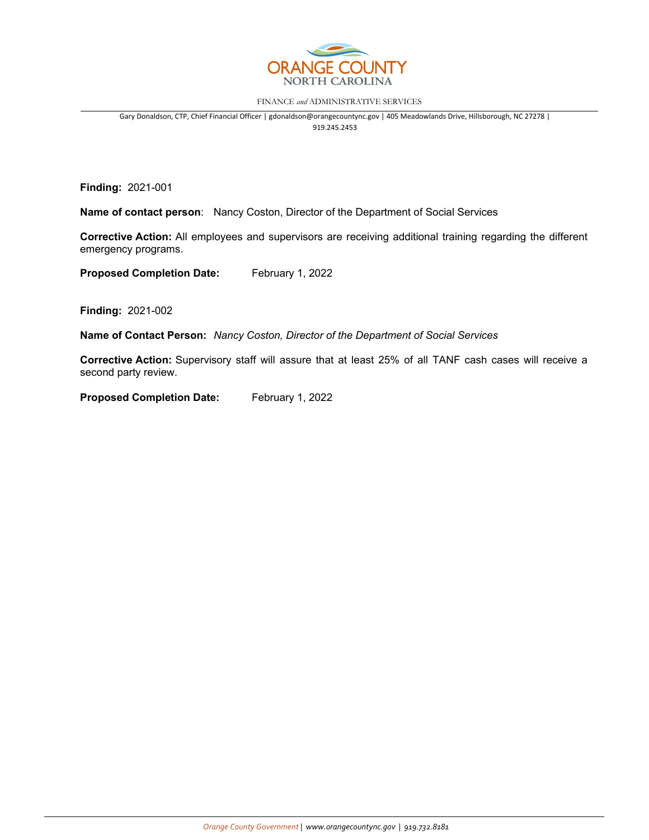

FINANCE *and* ADMINISTRATIVE SERVICES

Gary Donaldson, CTP, Chief Financial Officer | gdonaldson@orangecountync.gov | 405 Meadowlands Drive, Hillsborough, NC 27278 |

919.245.2453

**Finding:** 2021-001

**Name of contact person**: Nancy Coston, Director of the Department of Social Services

**Corrective Action:** All employees and supervisors are receiving additional training regarding the different emergency programs.

**Proposed Completion Date:** February 1, 2022

**Finding:** 2021-002

**Name of Contact Person:** *Nancy Coston, Director of the Department of Social Services* 

**Corrective Action:** Supervisory staff will assure that at least 25% of all TANF cash cases will receive a second party review.

**Proposed Completion Date:** February 1, 2022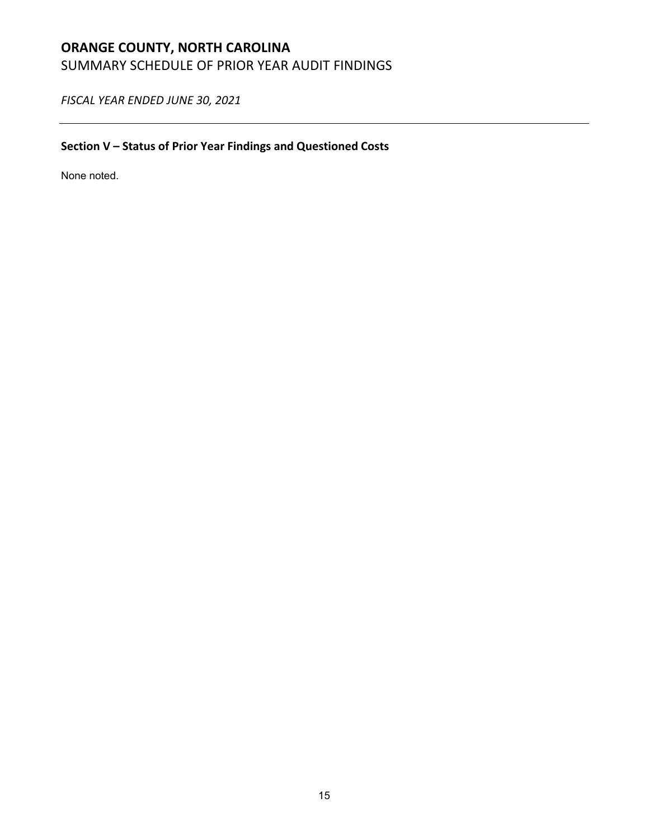## **ORANGE COUNTY, NORTH CAROLINA**

SUMMARY SCHEDULE OF PRIOR YEAR AUDIT FINDINGS

*FISCAL YEAR ENDED JUNE 30, 2021*

### **Section V – Status of Prior Year Findings and Questioned Costs**

None noted.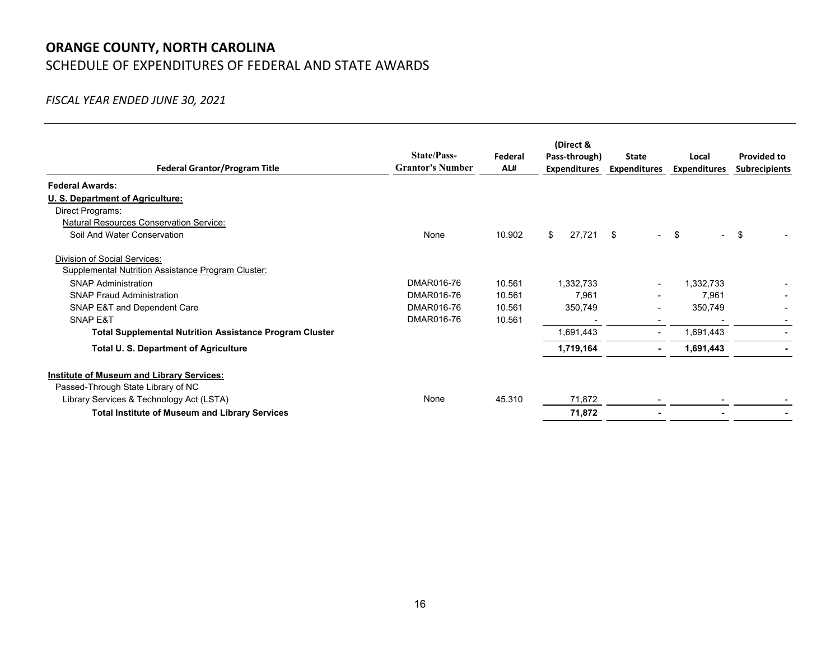| <b>Federal Awards:</b><br>U. S. Department of Agriculture:<br>Direct Programs:<br><b>Natural Resources Conservation Service:</b><br>\$<br>\$<br>27,721<br>\$<br>Soil And Water Conservation<br>10.902<br>-\$<br>None<br>$\overline{\phantom{0}}$ | <b>Provided to</b><br><b>Subrecipients</b> |
|--------------------------------------------------------------------------------------------------------------------------------------------------------------------------------------------------------------------------------------------------|--------------------------------------------|
|                                                                                                                                                                                                                                                  |                                            |
|                                                                                                                                                                                                                                                  |                                            |
|                                                                                                                                                                                                                                                  |                                            |
|                                                                                                                                                                                                                                                  |                                            |
|                                                                                                                                                                                                                                                  |                                            |
| Division of Social Services:                                                                                                                                                                                                                     |                                            |
| <b>Supplemental Nutrition Assistance Program Cluster:</b>                                                                                                                                                                                        |                                            |
| <b>SNAP Administration</b><br>DMAR016-76<br>10.561<br>1,332,733<br>1,332,733                                                                                                                                                                     |                                            |
| DMAR016-76<br><b>SNAP Fraud Administration</b><br>7,961<br>10.561<br>7,961                                                                                                                                                                       |                                            |
| SNAP E&T and Dependent Care<br>DMAR016-76<br>10.561<br>350,749<br>350,749                                                                                                                                                                        |                                            |
| <b>SNAP E&amp;T</b><br>DMAR016-76<br>10.561                                                                                                                                                                                                      |                                            |
| 1,691,443<br>1,691,443<br><b>Total Supplemental Nutrition Assistance Program Cluster</b><br>$\blacksquare$                                                                                                                                       |                                            |
| 1,691,443<br><b>Total U.S. Department of Agriculture</b><br>1,719,164                                                                                                                                                                            |                                            |
| <b>Institute of Museum and Library Services:</b>                                                                                                                                                                                                 |                                            |
| Passed-Through State Library of NC                                                                                                                                                                                                               |                                            |
| Library Services & Technology Act (LSTA)<br>None<br>45.310<br>71,872                                                                                                                                                                             |                                            |
| 71,872<br><b>Total Institute of Museum and Library Services</b>                                                                                                                                                                                  |                                            |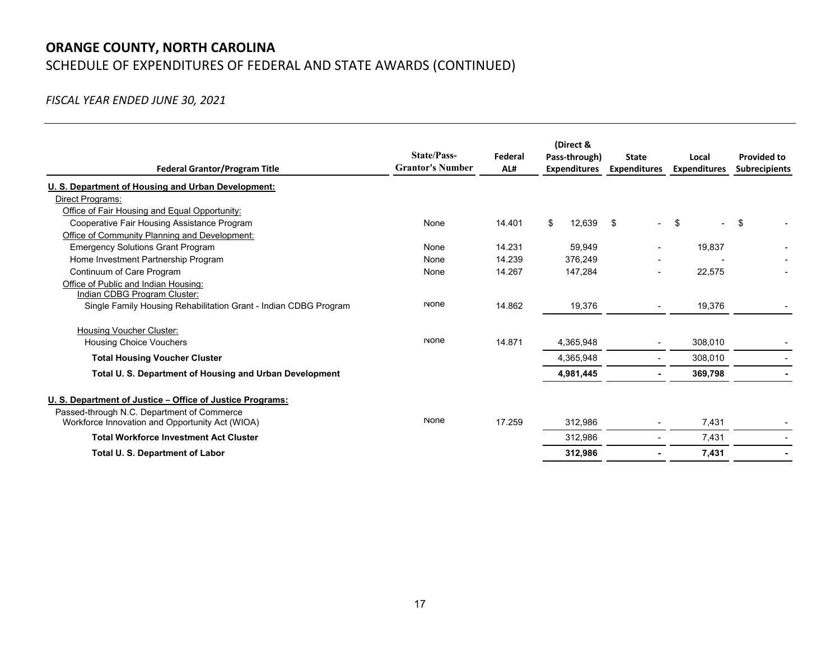| <b>Federal Grantor/Program Title</b>                                                                                                                       | <b>State/Pass-</b><br><b>Grantor's Number</b> | Federal<br>AL# | (Direct &<br>Pass-through)<br><b>Expenditures</b> | <b>State</b><br><b>Expenditures</b> | Local<br><b>Expenditures</b> | <b>Provided to</b><br><b>Subrecipients</b> |
|------------------------------------------------------------------------------------------------------------------------------------------------------------|-----------------------------------------------|----------------|---------------------------------------------------|-------------------------------------|------------------------------|--------------------------------------------|
| U. S. Department of Housing and Urban Development:                                                                                                         |                                               |                |                                                   |                                     |                              |                                            |
| Direct Programs:                                                                                                                                           |                                               |                |                                                   |                                     |                              |                                            |
| Office of Fair Housing and Equal Opportunity:                                                                                                              |                                               |                |                                                   |                                     |                              |                                            |
| Cooperative Fair Housing Assistance Program                                                                                                                | None                                          | 14.401         | \$<br>12,639                                      | \$                                  | \$                           | \$                                         |
| Office of Community Planning and Development:                                                                                                              |                                               |                |                                                   |                                     |                              |                                            |
| <b>Emergency Solutions Grant Program</b>                                                                                                                   | None                                          | 14.231         | 59,949                                            | $\overline{\phantom{a}}$            | 19,837                       |                                            |
| Home Investment Partnership Program                                                                                                                        | None                                          | 14.239         | 376.249                                           |                                     |                              |                                            |
| Continuum of Care Program                                                                                                                                  | None                                          | 14.267         | 147.284                                           |                                     | 22,575                       |                                            |
| Office of Public and Indian Housing:<br>Indian CDBG Program Cluster:                                                                                       |                                               |                |                                                   |                                     |                              |                                            |
| Single Family Housing Rehabilitation Grant - Indian CDBG Program                                                                                           | <b>None</b>                                   | 14.862         | 19.376                                            |                                     | 19,376                       |                                            |
| Housing Voucher Cluster:                                                                                                                                   |                                               |                |                                                   |                                     |                              |                                            |
| <b>Housing Choice Vouchers</b>                                                                                                                             | <b>None</b>                                   | 14.871         | 4,365,948                                         |                                     | 308,010                      |                                            |
| <b>Total Housing Voucher Cluster</b>                                                                                                                       |                                               |                | 4,365,948                                         |                                     | 308,010                      |                                            |
| Total U. S. Department of Housing and Urban Development                                                                                                    |                                               |                | 4,981,445                                         |                                     | 369,798                      |                                            |
| U. S. Department of Justice - Office of Justice Programs:<br>Passed-through N.C. Department of Commerce<br>Workforce Innovation and Opportunity Act (WIOA) | <b>None</b>                                   | 17.259         | 312,986                                           | $\overline{\phantom{a}}$            | 7.431                        |                                            |
| <b>Total Workforce Investment Act Cluster</b>                                                                                                              |                                               |                | 312,986                                           |                                     | 7,431                        |                                            |
|                                                                                                                                                            |                                               |                |                                                   |                                     |                              |                                            |
| <b>Total U. S. Department of Labor</b>                                                                                                                     |                                               |                | 312,986                                           |                                     | 7,431                        |                                            |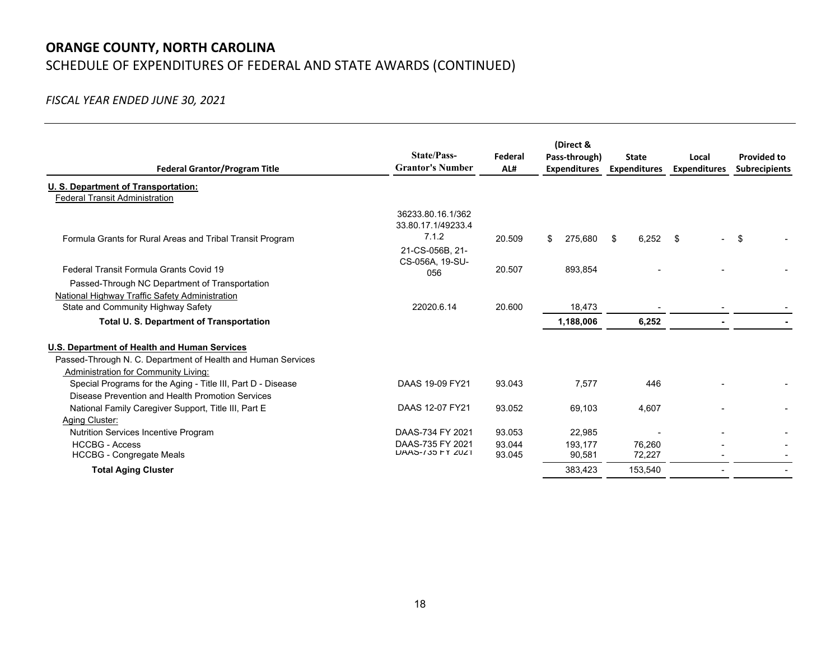| <b>Federal Grantor/Program Title</b>                                                                                                                        | <b>State/Pass-</b><br><b>Grantor's Number</b>    | Federal<br>AL#   | (Direct &<br>Pass-through)<br><b>Expenditures</b> | <b>State</b><br><b>Expenditures</b> | Local<br><b>Expenditures</b> | <b>Provided to</b><br><b>Subrecipients</b> |
|-------------------------------------------------------------------------------------------------------------------------------------------------------------|--------------------------------------------------|------------------|---------------------------------------------------|-------------------------------------|------------------------------|--------------------------------------------|
| U. S. Department of Transportation:<br><b>Federal Transit Administration</b>                                                                                |                                                  |                  |                                                   |                                     |                              |                                            |
| Formula Grants for Rural Areas and Tribal Transit Program                                                                                                   | 36233.80.16.1/362<br>33.80.17.1/49233.4<br>7.1.2 | 20.509           | 275,680<br>\$.                                    | 6,252<br>S.                         | - \$                         | -\$                                        |
| Federal Transit Formula Grants Covid 19                                                                                                                     | 21-CS-056B. 21-<br>CS-056A, 19-SU-<br>056        | 20.507           | 893,854                                           |                                     |                              |                                            |
| Passed-Through NC Department of Transportation<br>National Highway Traffic Safety Administration<br>State and Community Highway Safety                      | 22020.6.14                                       | 20.600           | 18,473                                            |                                     |                              |                                            |
| Total U. S. Department of Transportation                                                                                                                    |                                                  |                  | 1,188,006                                         | 6,252                               |                              |                                            |
| U.S. Department of Health and Human Services<br>Passed-Through N. C. Department of Health and Human Services<br><b>Administration for Community Living:</b> |                                                  |                  |                                                   |                                     |                              |                                            |
| Special Programs for the Aging - Title III, Part D - Disease<br>Disease Prevention and Health Promotion Services                                            | DAAS 19-09 FY21                                  | 93.043           | 7.577                                             | 446                                 |                              |                                            |
| National Family Caregiver Support, Title III, Part E<br>Aging Cluster:                                                                                      | DAAS 12-07 FY21                                  | 93.052           | 69,103                                            | 4,607                               |                              |                                            |
| Nutrition Services Incentive Program                                                                                                                        | DAAS-734 FY 2021                                 | 93.053           | 22,985                                            |                                     |                              |                                            |
| <b>HCCBG - Access</b><br><b>HCCBG - Congregate Meals</b>                                                                                                    | DAAS-735 FY 2021<br><b>DAAS-735 FY 2021</b>      | 93.044<br>93.045 | 193,177<br>90,581                                 | 76,260<br>72,227                    |                              |                                            |
| <b>Total Aging Cluster</b>                                                                                                                                  |                                                  |                  | 383,423                                           | 153,540                             |                              |                                            |
|                                                                                                                                                             |                                                  |                  |                                                   |                                     |                              |                                            |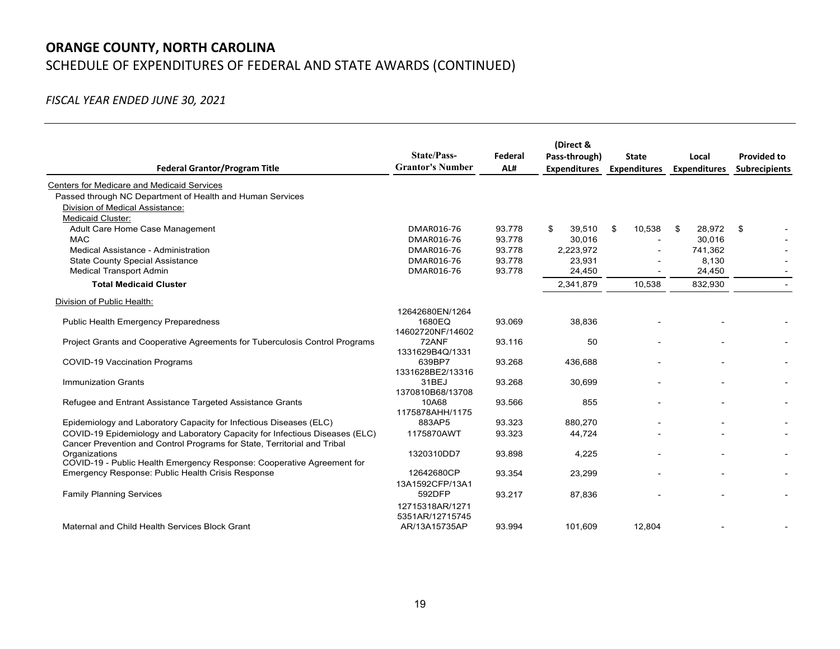| <b>Federal Grantor/Program Title</b>                                        | <b>State/Pass-</b><br><b>Grantor's Number</b> | Federal<br>AL# | (Direct &<br>Pass-through)<br><b>Expenditures</b> | <b>State</b><br><b>Expenditures</b> | Local<br><b>Expenditures</b> | <b>Provided to</b><br>Subrecipients |
|-----------------------------------------------------------------------------|-----------------------------------------------|----------------|---------------------------------------------------|-------------------------------------|------------------------------|-------------------------------------|
| Centers for Medicare and Medicaid Services                                  |                                               |                |                                                   |                                     |                              |                                     |
| Passed through NC Department of Health and Human Services                   |                                               |                |                                                   |                                     |                              |                                     |
| Division of Medical Assistance:                                             |                                               |                |                                                   |                                     |                              |                                     |
| <b>Medicaid Cluster:</b>                                                    |                                               |                |                                                   |                                     |                              |                                     |
| Adult Care Home Case Management                                             | DMAR016-76                                    | 93.778         | \$<br>39,510                                      | 10,538<br>\$                        | 28.972<br>-\$                | \$                                  |
| <b>MAC</b>                                                                  | DMAR016-76                                    | 93.778         | 30.016                                            | $\sim$                              | 30,016                       |                                     |
| Medical Assistance - Administration                                         | DMAR016-76                                    | 93.778         | 2,223,972                                         | $\overline{\phantom{a}}$            | 741,362                      |                                     |
| <b>State County Special Assistance</b>                                      | DMAR016-76                                    | 93.778         | 23,931                                            |                                     | 8,130                        |                                     |
| <b>Medical Transport Admin</b>                                              | DMAR016-76                                    | 93.778         | 24,450                                            |                                     | 24,450                       |                                     |
| <b>Total Medicaid Cluster</b>                                               |                                               |                | 2,341,879                                         | 10,538                              | 832,930                      |                                     |
|                                                                             |                                               |                |                                                   |                                     |                              |                                     |
| Division of Public Health:                                                  | 12642680EN/1264                               |                |                                                   |                                     |                              |                                     |
| Public Health Emergency Preparedness                                        | 1680EQ                                        | 93.069         | 38,836                                            |                                     |                              |                                     |
|                                                                             | 14602720NF/14602                              |                |                                                   |                                     |                              |                                     |
| Project Grants and Cooperative Agreements for Tuberculosis Control Programs | 72ANF                                         | 93.116         | 50                                                |                                     |                              |                                     |
|                                                                             | 1331629B4Q/1331                               |                |                                                   |                                     |                              |                                     |
| <b>COVID-19 Vaccination Programs</b>                                        | 639BP7                                        | 93.268         | 436.688                                           |                                     |                              |                                     |
|                                                                             | 1331628BE2/13316                              |                |                                                   |                                     |                              |                                     |
| <b>Immunization Grants</b>                                                  | 31BEJ                                         | 93.268         | 30,699                                            |                                     |                              |                                     |
|                                                                             | 1370810B68/13708                              |                |                                                   |                                     |                              |                                     |
| Refugee and Entrant Assistance Targeted Assistance Grants                   | 10A68                                         | 93.566         | 855                                               |                                     |                              |                                     |
|                                                                             | 1175878AHH/1175                               |                |                                                   |                                     |                              |                                     |
| Epidemiology and Laboratory Capacity for Infectious Diseases (ELC)          | 883AP5                                        | 93.323         | 880.270                                           |                                     |                              |                                     |
| COVID-19 Epidemiology and Laboratory Capacity for Infectious Diseases (ELC) | 1175870AWT                                    | 93.323         | 44,724                                            |                                     |                              |                                     |
| Cancer Prevention and Control Programs for State, Territorial and Tribal    |                                               |                |                                                   |                                     |                              |                                     |
| Organizations                                                               | 1320310DD7                                    | 93.898         | 4,225                                             |                                     |                              |                                     |
| COVID-19 - Public Health Emergency Response: Cooperative Agreement for      |                                               |                |                                                   |                                     |                              |                                     |
| Emergency Response: Public Health Crisis Response                           | 12642680CP                                    | 93.354         | 23,299                                            |                                     |                              |                                     |
|                                                                             | 13A1592CFP/13A1                               |                |                                                   |                                     |                              |                                     |
| <b>Family Planning Services</b>                                             | 592DFP                                        | 93.217         | 87,836                                            |                                     |                              |                                     |
|                                                                             | 12715318AR/1271                               |                |                                                   |                                     |                              |                                     |
|                                                                             | 5351AR/12715745                               |                |                                                   |                                     |                              |                                     |
| Maternal and Child Health Services Block Grant                              | AR/13A15735AP                                 | 93.994         | 101.609                                           | 12,804                              |                              |                                     |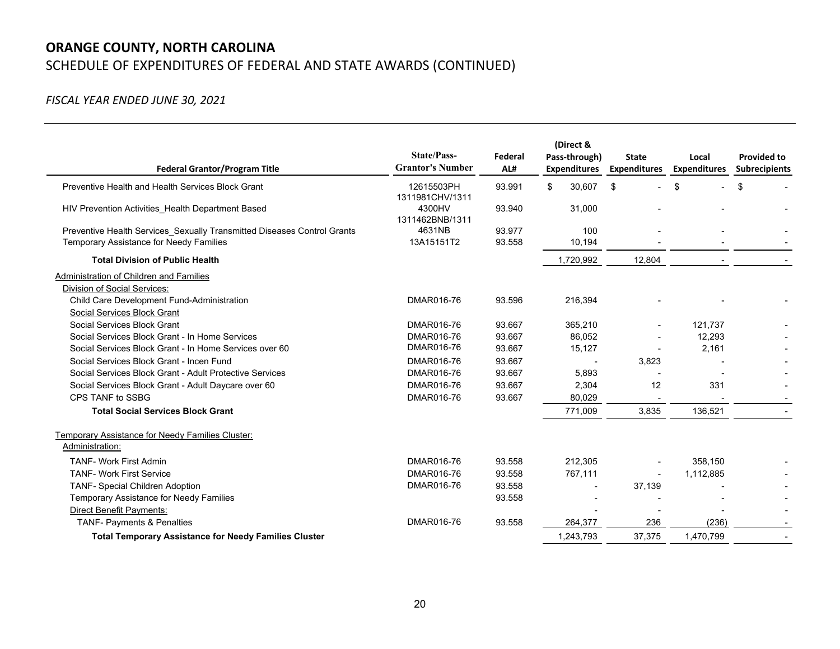| <b>Federal Grantor/Program Title</b>                                    | <b>State/Pass-</b><br><b>Grantor's Number</b> | Federal<br>AL# | (Direct &<br>Pass-through)<br><b>Expenditures</b> | <b>State</b><br><b>Expenditures</b> | Local<br><b>Expenditures</b> | <b>Provided to</b><br>Subrecipients |
|-------------------------------------------------------------------------|-----------------------------------------------|----------------|---------------------------------------------------|-------------------------------------|------------------------------|-------------------------------------|
| Preventive Health and Health Services Block Grant                       | 12615503PH                                    | 93.991         | 30,607<br>\$                                      | \$                                  | \$                           | \$                                  |
| HIV Prevention Activities Health Department Based                       | 1311981CHV/1311<br>4300HV<br>1311462BNB/1311  | 93.940         | 31,000                                            |                                     |                              |                                     |
| Preventive Health Services_Sexually Transmitted Diseases Control Grants | 4631NB                                        | 93.977         | 100                                               |                                     |                              |                                     |
| <b>Temporary Assistance for Needy Families</b>                          | 13A15151T2                                    | 93.558         | 10,194                                            |                                     |                              |                                     |
| <b>Total Division of Public Health</b>                                  |                                               |                | 1,720,992                                         | 12,804                              |                              |                                     |
| Administration of Children and Families<br>Division of Social Services: |                                               |                |                                                   |                                     |                              |                                     |
| Child Care Development Fund-Administration                              | DMAR016-76                                    | 93.596         | 216.394                                           |                                     |                              |                                     |
| Social Services Block Grant<br>Social Services Block Grant              | DMAR016-76                                    | 93.667         |                                                   |                                     |                              |                                     |
| Social Services Block Grant - In Home Services                          | DMAR016-76                                    | 93.667         | 365,210                                           |                                     | 121,737                      |                                     |
| Social Services Block Grant - In Home Services over 60                  | DMAR016-76                                    | 93.667         | 86,052<br>15,127                                  |                                     | 12,293<br>2,161              |                                     |
| Social Services Block Grant - Incen Fund                                | DMAR016-76                                    | 93.667         |                                                   |                                     |                              |                                     |
| Social Services Block Grant - Adult Protective Services                 | DMAR016-76                                    | 93.667         | 5.893                                             | 3,823                               |                              |                                     |
|                                                                         | DMAR016-76                                    | 93.667         | 2,304                                             | 12                                  | 331                          |                                     |
| Social Services Block Grant - Adult Daycare over 60<br>CPS TANF to SSBG | DMAR016-76                                    | 93.667         | 80,029                                            |                                     |                              |                                     |
| <b>Total Social Services Block Grant</b>                                |                                               |                | 771,009                                           | 3,835                               | 136,521                      |                                     |
|                                                                         |                                               |                |                                                   |                                     |                              |                                     |
| Temporary Assistance for Needy Families Cluster:                        |                                               |                |                                                   |                                     |                              |                                     |
| Administration:                                                         |                                               |                |                                                   |                                     |                              |                                     |
| <b>TANF- Work First Admin</b>                                           | DMAR016-76                                    | 93.558         | 212,305                                           |                                     | 358,150                      |                                     |
| <b>TANF- Work First Service</b>                                         | DMAR016-76                                    | 93.558         | 767,111                                           |                                     | 1,112,885                    |                                     |
| TANF- Special Children Adoption                                         | DMAR016-76                                    | 93.558         |                                                   | 37,139                              |                              |                                     |
| Temporary Assistance for Needy Families                                 |                                               | 93.558         |                                                   |                                     |                              |                                     |
| Direct Benefit Payments:                                                |                                               |                |                                                   |                                     |                              |                                     |
| TANF- Payments & Penalties                                              | DMAR016-76                                    | 93.558         | 264,377                                           | 236                                 | (236)                        |                                     |
| <b>Total Temporary Assistance for Needy Families Cluster</b>            |                                               |                | 1,243,793                                         | 37,375                              | 1,470,799                    |                                     |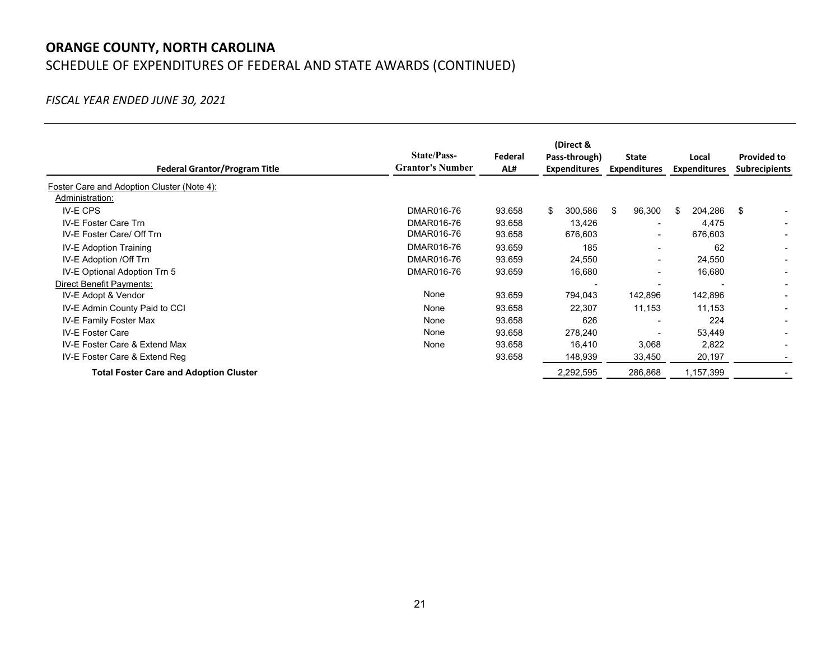| <b>Federal Grantor/Program Title</b>          | <b>State/Pass-</b><br><b>Grantor's Number</b> | Federal<br>AL# | (Direct &<br>Pass-through)<br><b>Expenditures</b> | <b>State</b><br><b>Expenditures</b> | Local<br><b>Expenditures</b> | <b>Provided to</b><br><b>Subrecipients</b> |
|-----------------------------------------------|-----------------------------------------------|----------------|---------------------------------------------------|-------------------------------------|------------------------------|--------------------------------------------|
| Foster Care and Adoption Cluster (Note 4):    |                                               |                |                                                   |                                     |                              |                                            |
| Administration:                               |                                               |                |                                                   |                                     |                              |                                            |
| <b>IV-E CPS</b>                               | DMAR016-76                                    | 93.658         | \$<br>300,586                                     | 96,300<br>\$.                       | 204,286<br>\$                | -\$                                        |
| <b>IV-E Foster Care Trn</b>                   | DMAR016-76                                    | 93.658         | 13,426                                            | $\overline{\phantom{0}}$            | 4,475                        |                                            |
| IV-E Foster Care/ Off Trn                     | DMAR016-76                                    | 93.658         | 676,603                                           | $\overline{\phantom{a}}$            | 676,603                      | $\overline{\phantom{0}}$                   |
| <b>IV-E Adoption Training</b>                 | DMAR016-76                                    | 93.659         | 185                                               | $\overline{\phantom{0}}$            | 62                           | $\overline{\phantom{a}}$                   |
| IV-E Adoption /Off Trn                        | DMAR016-76                                    | 93.659         | 24,550                                            | $\overline{\phantom{a}}$            | 24,550                       |                                            |
| IV-E Optional Adoption Trn 5                  | DMAR016-76                                    | 93.659         | 16,680                                            | $\blacksquare$                      | 16,680                       |                                            |
| Direct Benefit Payments:                      |                                               |                |                                                   | ٠                                   |                              | ٠                                          |
| IV-E Adopt & Vendor                           | None                                          | 93.659         | 794,043                                           | 142,896                             | 142,896                      |                                            |
| IV-E Admin County Paid to CCI                 | None                                          | 93.658         | 22,307                                            | 11,153                              | 11,153                       |                                            |
| IV-E Family Foster Max                        | None                                          | 93.658         | 626                                               |                                     | 224                          | ٠                                          |
| <b>IV-E Foster Care</b>                       | None                                          | 93.658         | 278,240                                           |                                     | 53,449                       |                                            |
| IV-E Foster Care & Extend Max                 | None                                          | 93.658         | 16,410                                            | 3,068                               | 2,822                        | $\overline{\phantom{0}}$                   |
| IV-E Foster Care & Extend Reg                 |                                               | 93.658         | 148,939                                           | 33,450                              | 20,197                       |                                            |
| <b>Total Foster Care and Adoption Cluster</b> |                                               |                | 2,292,595                                         | 286,868                             | 1,157,399                    |                                            |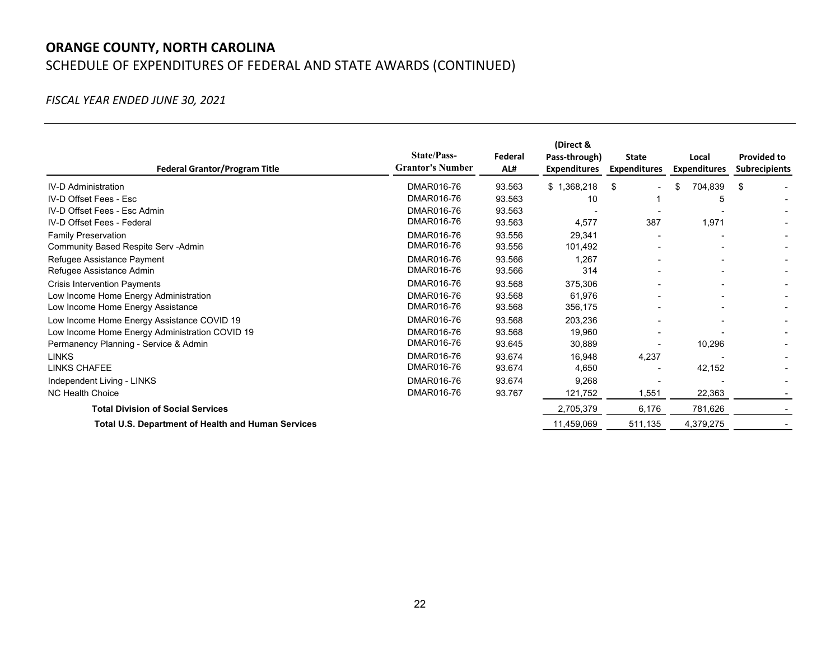| <b>Federal Grantor/Program Title</b>                      | <b>State/Pass-</b><br><b>Grantor's Number</b> | Federal<br>AL# | (Direct &<br>Pass-through)<br><b>Expenditures</b> | <b>State</b><br><b>Expenditures</b> | Local<br><b>Expenditures</b> | <b>Provided to</b><br><b>Subrecipients</b> |
|-----------------------------------------------------------|-----------------------------------------------|----------------|---------------------------------------------------|-------------------------------------|------------------------------|--------------------------------------------|
| <b>IV-D Administration</b>                                | DMAR016-76                                    | 93.563         | \$1,368,218                                       | S                                   | 704,839                      | \$                                         |
| IV-D Offset Fees - Esc                                    | DMAR016-76                                    | 93.563         | 10                                                |                                     | 5                            |                                            |
| IV-D Offset Fees - Esc Admin                              | DMAR016-76                                    | 93.563         |                                                   |                                     |                              |                                            |
| IV-D Offset Fees - Federal                                | DMAR016-76                                    | 93.563         | 4,577                                             | 387                                 | 1,971                        |                                            |
| <b>Family Preservation</b>                                | DMAR016-76                                    | 93.556         | 29,341                                            |                                     |                              |                                            |
| Community Based Respite Serv - Admin                      | DMAR016-76                                    | 93.556         | 101,492                                           |                                     |                              |                                            |
| Refugee Assistance Payment                                | DMAR016-76                                    | 93.566         | 1,267                                             |                                     |                              |                                            |
| Refugee Assistance Admin                                  | DMAR016-76                                    | 93.566         | 314                                               |                                     |                              |                                            |
| <b>Crisis Intervention Payments</b>                       | DMAR016-76                                    | 93.568         | 375,306                                           |                                     |                              |                                            |
| Low Income Home Energy Administration                     | DMAR016-76                                    | 93.568         | 61,976                                            |                                     |                              |                                            |
| Low Income Home Energy Assistance                         | DMAR016-76                                    | 93.568         | 356,175                                           |                                     |                              |                                            |
| Low Income Home Energy Assistance COVID 19                | DMAR016-76                                    | 93.568         | 203,236                                           |                                     |                              |                                            |
| Low Income Home Energy Administration COVID 19            | DMAR016-76                                    | 93.568         | 19,960                                            |                                     |                              |                                            |
| Permanency Planning - Service & Admin                     | DMAR016-76                                    | 93.645         | 30,889                                            |                                     | 10,296                       |                                            |
| <b>LINKS</b>                                              | DMAR016-76                                    | 93.674         | 16,948                                            | 4,237                               |                              |                                            |
| LINKS CHAFEE                                              | DMAR016-76                                    | 93.674         | 4,650                                             |                                     | 42,152                       |                                            |
| Independent Living - LINKS                                | DMAR016-76                                    | 93.674         | 9,268                                             |                                     |                              |                                            |
| <b>NC Health Choice</b>                                   | DMAR016-76                                    | 93.767         | 121,752                                           | 1,551                               | 22,363                       |                                            |
| <b>Total Division of Social Services</b>                  |                                               |                | 2,705,379                                         | 6,176                               | 781,626                      |                                            |
| <b>Total U.S. Department of Health and Human Services</b> |                                               |                | 11,459,069                                        | 511,135                             | 4,379,275                    |                                            |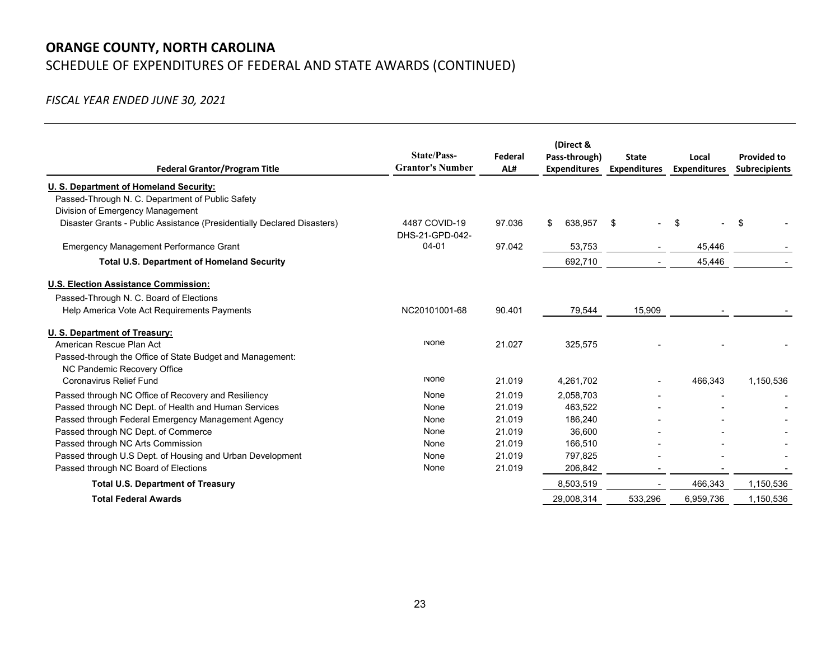| <b>Federal Grantor/Program Title</b>                                                     | <b>State/Pass-</b><br><b>Grantor's Number</b> | Federal<br>AL# | (Direct &<br>Pass-through)<br><b>Expenditures</b> | <b>State</b><br><b>Expenditures</b> | Local<br><b>Expenditures</b> | <b>Provided to</b><br><b>Subrecipients</b> |
|------------------------------------------------------------------------------------------|-----------------------------------------------|----------------|---------------------------------------------------|-------------------------------------|------------------------------|--------------------------------------------|
| U. S. Department of Homeland Security:                                                   |                                               |                |                                                   |                                     |                              |                                            |
| Passed-Through N. C. Department of Public Safety<br>Division of Emergency Management     |                                               |                |                                                   |                                     |                              |                                            |
| Disaster Grants - Public Assistance (Presidentially Declared Disasters)                  | 4487 COVID-19<br>DHS-21-GPD-042-              | 97.036         | \$<br>638,957                                     | \$<br>$\overline{\phantom{0}}$      | \$                           | \$                                         |
| <b>Emergency Management Performance Grant</b>                                            | $04 - 01$                                     | 97.042         | 53,753                                            |                                     | 45,446                       |                                            |
| <b>Total U.S. Department of Homeland Security</b>                                        |                                               |                | 692,710                                           |                                     | 45,446                       |                                            |
| <b>U.S. Election Assistance Commission:</b>                                              |                                               |                |                                                   |                                     |                              |                                            |
| Passed-Through N. C. Board of Elections                                                  |                                               |                |                                                   |                                     |                              |                                            |
| Help America Vote Act Requirements Payments                                              | NC20101001-68                                 | 90.401         | 79,544                                            | 15,909                              |                              |                                            |
| U. S. Department of Treasury:                                                            |                                               |                |                                                   |                                     |                              |                                            |
| American Rescue Plan Act                                                                 | None                                          | 21.027         | 325,575                                           |                                     |                              |                                            |
| Passed-through the Office of State Budget and Management:<br>NC Pandemic Recovery Office |                                               |                |                                                   |                                     |                              |                                            |
| Coronavirus Relief Fund                                                                  | <b>None</b>                                   | 21.019         | 4,261,702                                         |                                     | 466,343                      | 1,150,536                                  |
| Passed through NC Office of Recovery and Resiliency                                      | None                                          | 21.019         | 2,058,703                                         |                                     |                              |                                            |
| Passed through NC Dept. of Health and Human Services                                     | None                                          | 21.019         | 463,522                                           |                                     |                              |                                            |
| Passed through Federal Emergency Management Agency                                       | None                                          | 21.019         | 186,240                                           |                                     |                              |                                            |
| Passed through NC Dept. of Commerce                                                      | None                                          | 21.019         | 36,600                                            |                                     |                              |                                            |
| Passed through NC Arts Commission                                                        | None                                          | 21.019         | 166.510                                           |                                     |                              |                                            |
| Passed through U.S Dept. of Housing and Urban Development                                | None                                          | 21.019         | 797,825                                           |                                     |                              |                                            |
| Passed through NC Board of Elections                                                     | None                                          | 21.019         | 206.842                                           |                                     |                              |                                            |
| <b>Total U.S. Department of Treasury</b>                                                 |                                               |                | 8,503,519                                         | $\overline{\phantom{a}}$            | 466.343                      | 1,150,536                                  |
| <b>Total Federal Awards</b>                                                              |                                               |                | 29,008,314                                        | 533,296                             | 6,959,736                    | 1,150,536                                  |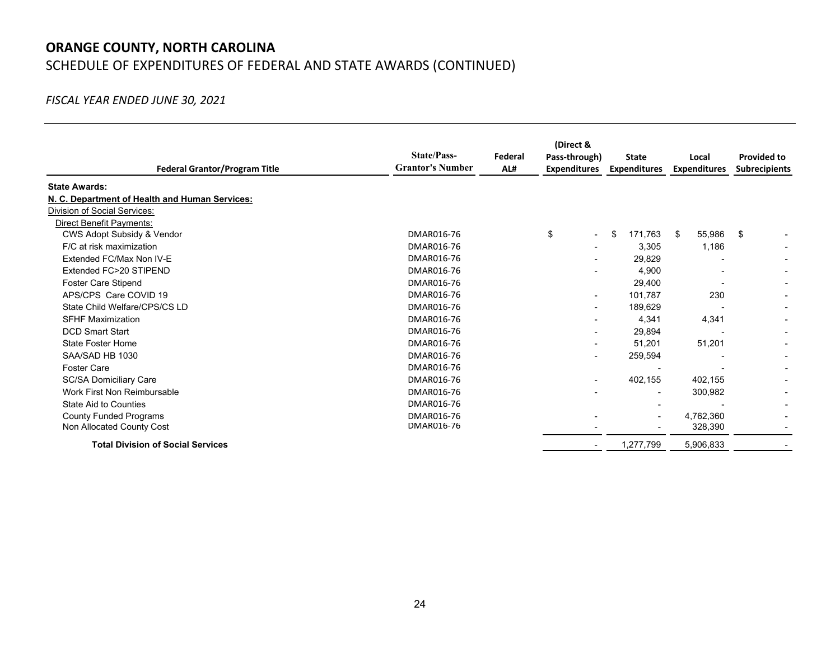| <b>Federal Grantor/Program Title</b>           | <b>State/Pass-</b><br><b>Grantor's Number</b> | Federal<br>AL# | (Direct &<br>Pass-through)<br><b>Expenditures</b> | <b>State</b><br><b>Expenditures</b> | Local<br><b>Expenditures</b> | <b>Provided to</b><br><b>Subrecipients</b> |
|------------------------------------------------|-----------------------------------------------|----------------|---------------------------------------------------|-------------------------------------|------------------------------|--------------------------------------------|
| <b>State Awards:</b>                           |                                               |                |                                                   |                                     |                              |                                            |
| N. C. Department of Health and Human Services: |                                               |                |                                                   |                                     |                              |                                            |
| Division of Social Services:                   |                                               |                |                                                   |                                     |                              |                                            |
| Direct Benefit Payments:                       |                                               |                |                                                   |                                     |                              |                                            |
| CWS Adopt Subsidy & Vendor                     | DMAR016-76                                    |                | \$<br>$\blacksquare$                              | 171.763<br>\$                       | 55,986<br>\$                 | - \$                                       |
| F/C at risk maximization                       | DMAR016-76                                    |                |                                                   | 3,305                               | 1,186                        |                                            |
| Extended FC/Max Non IV-E                       | DMAR016-76                                    |                |                                                   | 29,829                              |                              |                                            |
| Extended FC>20 STIPEND                         | DMAR016-76                                    |                |                                                   | 4,900                               |                              |                                            |
| Foster Care Stipend                            | DMAR016-76                                    |                |                                                   | 29,400                              |                              |                                            |
| APS/CPS Care COVID 19                          | DMAR016-76                                    |                | ٠                                                 | 101.787                             | 230                          |                                            |
| State Child Welfare/CPS/CS LD                  | DMAR016-76                                    |                |                                                   | 189,629                             |                              |                                            |
| <b>SFHF Maximization</b>                       | DMAR016-76                                    |                |                                                   | 4,341                               | 4,341                        |                                            |
| <b>DCD Smart Start</b>                         | DMAR016-76                                    |                |                                                   | 29,894                              |                              |                                            |
| <b>State Foster Home</b>                       | DMAR016-76                                    |                |                                                   | 51,201                              | 51,201                       |                                            |
| SAA/SAD HB 1030                                | DMAR016-76                                    |                |                                                   | 259,594                             |                              |                                            |
| <b>Foster Care</b>                             | DMAR016-76                                    |                |                                                   |                                     |                              |                                            |
| <b>SC/SA Domiciliary Care</b>                  | DMAR016-76                                    |                |                                                   | 402,155                             | 402,155                      |                                            |
| Work First Non Reimbursable                    | DMAR016-76                                    |                |                                                   | $\overline{\phantom{a}}$            | 300,982                      |                                            |
| <b>State Aid to Counties</b>                   | DMAR016-76                                    |                |                                                   |                                     |                              |                                            |
| <b>County Funded Programs</b>                  | DMAR016-76                                    |                |                                                   | $\blacksquare$                      | 4,762,360                    |                                            |
| Non Allocated County Cost                      | DMAR016-76                                    |                |                                                   |                                     | 328,390                      |                                            |
| <b>Total Division of Social Services</b>       |                                               |                |                                                   | 1,277,799                           | 5,906,833                    |                                            |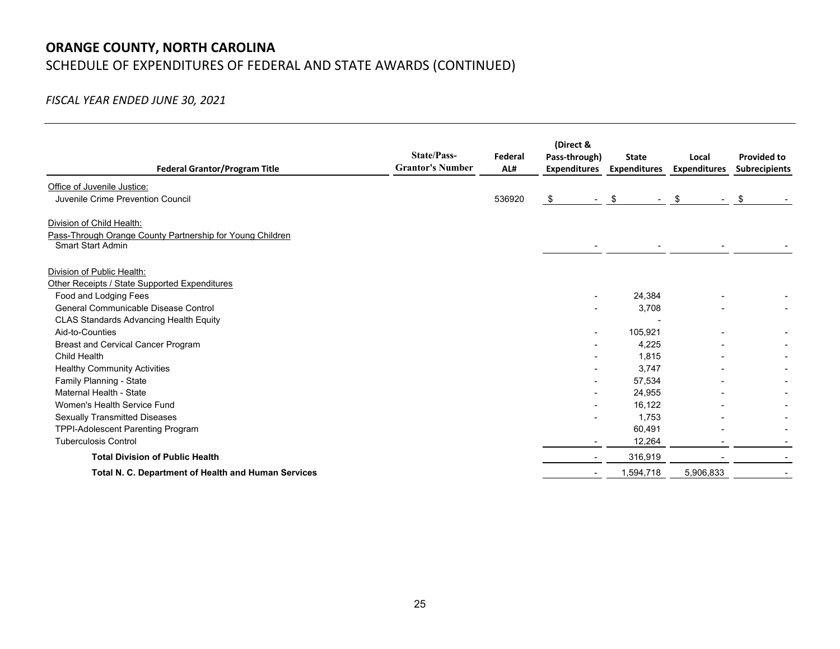| <b>Federal Grantor/Program Title</b>                                                                               | <b>State/Pass-</b><br><b>Grantor's Number</b> | Federal<br>AL# | (Direct &<br>Pass-through)<br><b>Expenditures</b> | <b>State</b><br><b>Expenditures</b> | Local<br><b>Expenditures</b> | <b>Provided to</b><br><b>Subrecipients</b> |
|--------------------------------------------------------------------------------------------------------------------|-----------------------------------------------|----------------|---------------------------------------------------|-------------------------------------|------------------------------|--------------------------------------------|
| Office of Juvenile Justice:                                                                                        |                                               |                |                                                   |                                     |                              |                                            |
| Juvenile Crime Prevention Council                                                                                  |                                               | 536920         | - \$<br>$\sim$                                    | \$<br>$\blacksquare$                | -\$                          | \$                                         |
| Division of Child Health:<br>Pass-Through Orange County Partnership for Young Children<br><b>Smart Start Admin</b> |                                               |                |                                                   |                                     |                              |                                            |
| Division of Public Health:                                                                                         |                                               |                |                                                   |                                     |                              |                                            |
| Other Receipts / State Supported Expenditures                                                                      |                                               |                |                                                   |                                     |                              |                                            |
| Food and Lodging Fees                                                                                              |                                               |                |                                                   | 24,384                              |                              |                                            |
| General Communicable Disease Control                                                                               |                                               |                |                                                   | 3,708                               |                              |                                            |
| <b>CLAS Standards Advancing Health Equity</b>                                                                      |                                               |                |                                                   |                                     |                              |                                            |
| Aid-to-Counties                                                                                                    |                                               |                |                                                   | 105,921                             |                              |                                            |
| Breast and Cervical Cancer Program                                                                                 |                                               |                |                                                   | 4,225                               |                              |                                            |
| <b>Child Health</b>                                                                                                |                                               |                |                                                   | 1,815                               |                              |                                            |
| <b>Healthy Community Activities</b>                                                                                |                                               |                |                                                   | 3,747                               |                              |                                            |
| Family Planning - State                                                                                            |                                               |                |                                                   | 57,534                              |                              |                                            |
| Maternal Health - State                                                                                            |                                               |                |                                                   | 24,955                              |                              |                                            |
| Women's Health Service Fund                                                                                        |                                               |                |                                                   | 16,122                              |                              |                                            |
| <b>Sexually Transmitted Diseases</b>                                                                               |                                               |                |                                                   | 1,753                               |                              |                                            |
| <b>TPPI-Adolescent Parenting Program</b>                                                                           |                                               |                |                                                   | 60,491                              |                              |                                            |
| <b>Tuberculosis Control</b>                                                                                        |                                               |                |                                                   | 12,264                              |                              |                                            |
| <b>Total Division of Public Health</b>                                                                             |                                               |                |                                                   | 316,919                             |                              |                                            |
| Total N. C. Department of Health and Human Services                                                                |                                               |                |                                                   | 1,594,718                           | 5,906,833                    |                                            |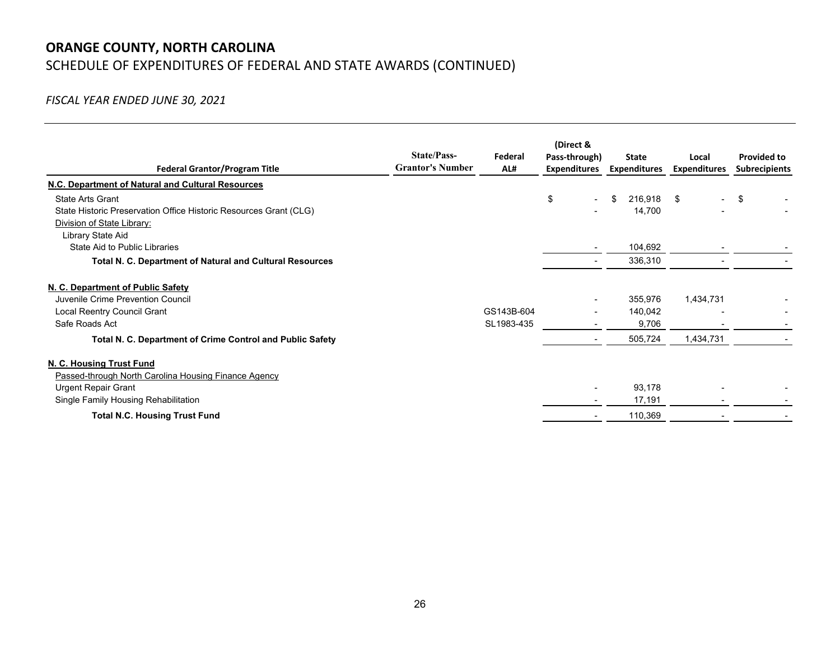| (Direct &<br><b>State/Pass-</b><br>Federal<br>Pass-through)<br><b>Grantor's Number</b><br><b>Federal Grantor/Program Title</b><br>AL#<br><b>Expenditures</b> | <b>State</b><br><b>Expenditures</b> | Local<br>Expenditures | <b>Provided to</b><br><b>Subrecipients</b> |
|--------------------------------------------------------------------------------------------------------------------------------------------------------------|-------------------------------------|-----------------------|--------------------------------------------|
| N.C. Department of Natural and Cultural Resources                                                                                                            |                                     |                       |                                            |
| \$<br><b>State Arts Grant</b><br>$\overline{\phantom{0}}$                                                                                                    | \$<br>216,918                       | \$                    | \$                                         |
| State Historic Preservation Office Historic Resources Grant (CLG)                                                                                            | 14,700                              |                       |                                            |
| Division of State Library:                                                                                                                                   |                                     |                       |                                            |
| Library State Aid                                                                                                                                            |                                     |                       |                                            |
| State Aid to Public Libraries                                                                                                                                | 104,692                             |                       |                                            |
| Total N. C. Department of Natural and Cultural Resources                                                                                                     | 336,310                             |                       |                                            |
| N. C. Department of Public Safety                                                                                                                            |                                     |                       |                                            |
| Juvenile Crime Prevention Council                                                                                                                            | 355,976                             | 1,434,731             |                                            |
| GS143B-604<br>Local Reentry Council Grant                                                                                                                    | 140,042                             |                       |                                            |
| Safe Roads Act<br>SL1983-435                                                                                                                                 | 9,706                               |                       |                                            |
| Total N. C. Department of Crime Control and Public Safety                                                                                                    | 505,724                             | 1,434,731             |                                            |
| N. C. Housing Trust Fund                                                                                                                                     |                                     |                       |                                            |
| Passed-through North Carolina Housing Finance Agency                                                                                                         |                                     |                       |                                            |
| Urgent Repair Grant                                                                                                                                          | 93,178                              |                       |                                            |
| Single Family Housing Rehabilitation                                                                                                                         | 17,191                              |                       |                                            |
| <b>Total N.C. Housing Trust Fund</b>                                                                                                                         | 110,369                             |                       |                                            |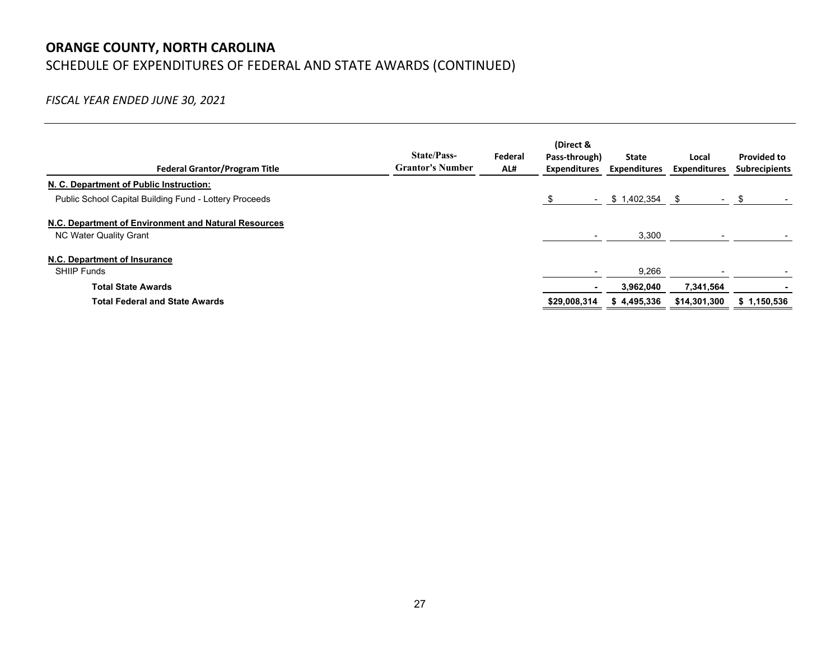| <b>Federal Grantor/Program Title</b>                   | <b>State/Pass-</b><br><b>Grantor's Number</b> | Federal<br>AL# | (Direct &<br>Pass-through)<br><b>Expenditures</b> | <b>State</b><br><b>Expenditures</b> | Local<br><b>Expenditures</b> | <b>Provided to</b><br><b>Subrecipients</b> |
|--------------------------------------------------------|-----------------------------------------------|----------------|---------------------------------------------------|-------------------------------------|------------------------------|--------------------------------------------|
| N. C. Department of Public Instruction:                |                                               |                |                                                   |                                     |                              |                                            |
| Public School Capital Building Fund - Lottery Proceeds |                                               |                |                                                   | \$1,402,354                         | S.<br>$\sim$                 | S.                                         |
| N.C. Department of Environment and Natural Resources   |                                               |                |                                                   |                                     |                              |                                            |
| NC Water Quality Grant                                 |                                               |                |                                                   | 3,300                               |                              |                                            |
| N.C. Department of Insurance                           |                                               |                |                                                   |                                     |                              |                                            |
| SHIIP Funds                                            |                                               |                |                                                   | 9,266                               |                              |                                            |
| <b>Total State Awards</b>                              |                                               |                |                                                   | 3,962,040                           | 7,341,564                    |                                            |
| <b>Total Federal and State Awards</b>                  |                                               |                | \$29,008,314                                      | \$4,495,336                         | \$14,301,300                 | \$1,150,536                                |